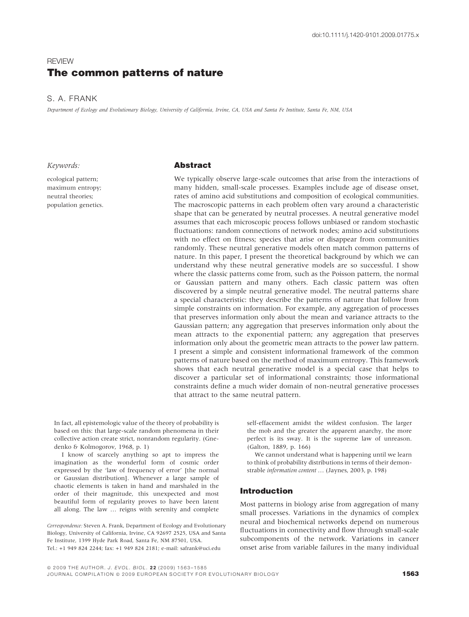# **REVIEW** The common patterns of nature

# S. A. FRANK

Department of Ecology and Evolutionary Biology, University of California, Irvine, CA, USA and Santa Fe Institute, Santa Fe, NM, USA

#### Keywords:

ecological pattern; maximum entropy; neutral theories; population genetics.

# Abstract

We typically observe large-scale outcomes that arise from the interactions of many hidden, small-scale processes. Examples include age of disease onset, rates of amino acid substitutions and composition of ecological communities. The macroscopic patterns in each problem often vary around a characteristic shape that can be generated by neutral processes. A neutral generative model assumes that each microscopic process follows unbiased or random stochastic fluctuations: random connections of network nodes; amino acid substitutions with no effect on fitness; species that arise or disappear from communities randomly. These neutral generative models often match common patterns of nature. In this paper, I present the theoretical background by which we can understand why these neutral generative models are so successful. I show where the classic patterns come from, such as the Poisson pattern, the normal or Gaussian pattern and many others. Each classic pattern was often discovered by a simple neutral generative model. The neutral patterns share a special characteristic: they describe the patterns of nature that follow from simple constraints on information. For example, any aggregation of processes that preserves information only about the mean and variance attracts to the Gaussian pattern; any aggregation that preserves information only about the mean attracts to the exponential pattern; any aggregation that preserves information only about the geometric mean attracts to the power law pattern. I present a simple and consistent informational framework of the common patterns of nature based on the method of maximum entropy. This framework shows that each neutral generative model is a special case that helps to discover a particular set of informational constraints; those informational constraints define a much wider domain of non-neutral generative processes that attract to the same neutral pattern.

In fact, all epistemologic value of the theory of probability is based on this: that large-scale random phenomena in their collective action create strict, nonrandom regularity. (Gnedenko & Kolmogorov, 1968, p. 1)

I know of scarcely anything so apt to impress the imagination as the wonderful form of cosmic order expressed by the 'law of frequency of error' [the normal or Gaussian distribution]. Whenever a large sample of chaotic elements is taken in hand and marshaled in the order of their magnitude, this unexpected and most beautiful form of regularity proves to have been latent all along. The law … reigns with serenity and complete

Correspondence: Steven A. Frank, Department of Ecology and Evolutionary Biology, University of California, Irvine, CA 92697 2525, USA and Santa Fe Institute, 1399 Hyde Park Road, Santa Fe, NM 87501, USA. Tel.: +1 949 824 2244; fax: +1 949 824 2181; e-mail: safrank@uci.edu

self-effacement amidst the wildest confusion. The larger the mob and the greater the apparent anarchy, the more perfect is its sway. It is the supreme law of unreason. (Galton, 1889, p. 166)

We cannot understand what is happening until we learn to think of probability distributions in terms of their demonstrable information content … (Jaynes, 2003, p. 198)

# Introduction

Most patterns in biology arise from aggregation of many small processes. Variations in the dynamics of complex neural and biochemical networks depend on numerous fluctuations in connectivity and flow through small-scale subcomponents of the network. Variations in cancer onset arise from variable failures in the many individual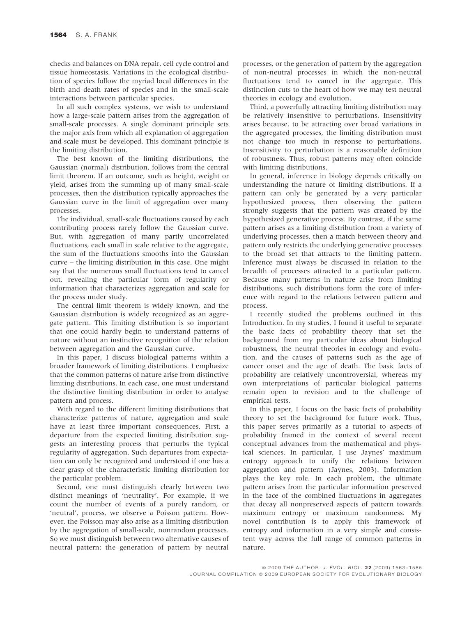checks and balances on DNA repair, cell cycle control and tissue homeostasis. Variations in the ecological distribution of species follow the myriad local differences in the birth and death rates of species and in the small-scale interactions between particular species.

In all such complex systems, we wish to understand how a large-scale pattern arises from the aggregation of small-scale processes. A single dominant principle sets the major axis from which all explanation of aggregation and scale must be developed. This dominant principle is the limiting distribution.

The best known of the limiting distributions, the Gaussian (normal) distribution, follows from the central limit theorem. If an outcome, such as height, weight or yield, arises from the summing up of many small-scale processes, then the distribution typically approaches the Gaussian curve in the limit of aggregation over many processes.

The individual, small-scale fluctuations caused by each contributing process rarely follow the Gaussian curve. But, with aggregation of many partly uncorrelated fluctuations, each small in scale relative to the aggregate, the sum of the fluctuations smooths into the Gaussian curve – the limiting distribution in this case. One might say that the numerous small fluctuations tend to cancel out, revealing the particular form of regularity or information that characterizes aggregation and scale for the process under study.

The central limit theorem is widely known, and the Gaussian distribution is widely recognized as an aggregate pattern. This limiting distribution is so important that one could hardly begin to understand patterns of nature without an instinctive recognition of the relation between aggregation and the Gaussian curve.

In this paper, I discuss biological patterns within a broader framework of limiting distributions. I emphasize that the common patterns of nature arise from distinctive limiting distributions. In each case, one must understand the distinctive limiting distribution in order to analyse pattern and process.

With regard to the different limiting distributions that characterize patterns of nature, aggregation and scale have at least three important consequences. First, a departure from the expected limiting distribution suggests an interesting process that perturbs the typical regularity of aggregation. Such departures from expectation can only be recognized and understood if one has a clear grasp of the characteristic limiting distribution for the particular problem.

Second, one must distinguish clearly between two distinct meanings of 'neutrality'. For example, if we count the number of events of a purely random, or 'neutral', process, we observe a Poisson pattern. However, the Poisson may also arise as a limiting distribution by the aggregation of small-scale, nonrandom processes. So we must distinguish between two alternative causes of neutral pattern: the generation of pattern by neutral

processes, or the generation of pattern by the aggregation of non-neutral processes in which the non-neutral fluctuations tend to cancel in the aggregate. This distinction cuts to the heart of how we may test neutral theories in ecology and evolution.

Third, a powerfully attracting limiting distribution may be relatively insensitive to perturbations. Insensitivity arises because, to be attracting over broad variations in the aggregated processes, the limiting distribution must not change too much in response to perturbations. Insensitivity to perturbation is a reasonable definition of robustness. Thus, robust patterns may often coincide with limiting distributions.

In general, inference in biology depends critically on understanding the nature of limiting distributions. If a pattern can only be generated by a very particular hypothesized process, then observing the pattern strongly suggests that the pattern was created by the hypothesized generative process. By contrast, if the same pattern arises as a limiting distribution from a variety of underlying processes, then a match between theory and pattern only restricts the underlying generative processes to the broad set that attracts to the limiting pattern. Inference must always be discussed in relation to the breadth of processes attracted to a particular pattern. Because many patterns in nature arise from limiting distributions, such distributions form the core of inference with regard to the relations between pattern and process.

I recently studied the problems outlined in this Introduction. In my studies, I found it useful to separate the basic facts of probability theory that set the background from my particular ideas about biological robustness, the neutral theories in ecology and evolution, and the causes of patterns such as the age of cancer onset and the age of death. The basic facts of probability are relatively uncontroversial, whereas my own interpretations of particular biological patterns remain open to revision and to the challenge of empirical tests.

In this paper, I focus on the basic facts of probability theory to set the background for future work. Thus, this paper serves primarily as a tutorial to aspects of probability framed in the context of several recent conceptual advances from the mathematical and physical sciences. In particular, I use Jaynes' maximum entropy approach to unify the relations between aggregation and pattern (Jaynes, 2003). Information plays the key role. In each problem, the ultimate pattern arises from the particular information preserved in the face of the combined fluctuations in aggregates that decay all nonpreserved aspects of pattern towards maximum entropy or maximum randomness. My novel contribution is to apply this framework of entropy and information in a very simple and consistent way across the full range of common patterns in nature.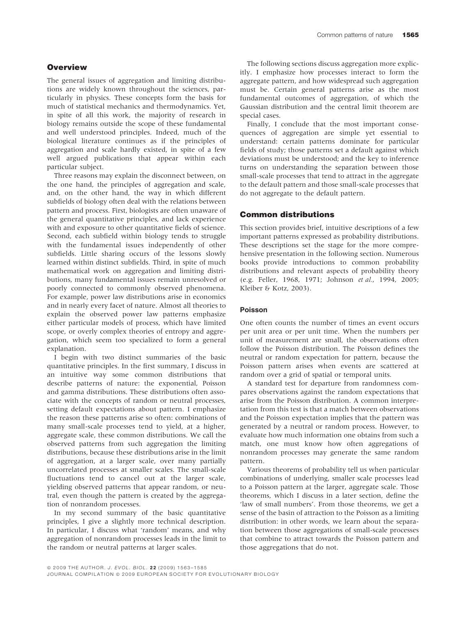# **Overview**

The general issues of aggregation and limiting distributions are widely known throughout the sciences, particularly in physics. These concepts form the basis for much of statistical mechanics and thermodynamics. Yet, in spite of all this work, the majority of research in biology remains outside the scope of these fundamental and well understood principles. Indeed, much of the biological literature continues as if the principles of aggregation and scale hardly existed, in spite of a few well argued publications that appear within each particular subject.

Three reasons may explain the disconnect between, on the one hand, the principles of aggregation and scale, and, on the other hand, the way in which different subfields of biology often deal with the relations between pattern and process. First, biologists are often unaware of the general quantitative principles, and lack experience with and exposure to other quantitative fields of science. Second, each subfield within biology tends to struggle with the fundamental issues independently of other subfields. Little sharing occurs of the lessons slowly learned within distinct subfields. Third, in spite of much mathematical work on aggregation and limiting distributions, many fundamental issues remain unresolved or poorly connected to commonly observed phenomena. For example, power law distributions arise in economics and in nearly every facet of nature. Almost all theories to explain the observed power law patterns emphasize either particular models of process, which have limited scope, or overly complex theories of entropy and aggregation, which seem too specialized to form a general explanation.

I begin with two distinct summaries of the basic quantitative principles. In the first summary, I discuss in an intuitive way some common distributions that describe patterns of nature: the exponential, Poisson and gamma distributions. These distributions often associate with the concepts of random or neutral processes, setting default expectations about pattern. I emphasize the reason these patterns arise so often: combinations of many small-scale processes tend to yield, at a higher, aggregate scale, these common distributions. We call the observed patterns from such aggregation the limiting distributions, because these distributions arise in the limit of aggregation, at a larger scale, over many partially uncorrelated processes at smaller scales. The small-scale fluctuations tend to cancel out at the larger scale, yielding observed patterns that appear random, or neutral, even though the pattern is created by the aggregation of nonrandom processes.

In my second summary of the basic quantitative principles, I give a slightly more technical description. In particular, I discuss what 'random' means, and why aggregation of nonrandom processes leads in the limit to the random or neutral patterns at larger scales.

The following sections discuss aggregation more explicitly. I emphasize how processes interact to form the aggregate pattern, and how widespread such aggregation must be. Certain general patterns arise as the most fundamental outcomes of aggregation, of which the Gaussian distribution and the central limit theorem are special cases.

Finally, I conclude that the most important consequences of aggregation are simple yet essential to understand: certain patterns dominate for particular fields of study; those patterns set a default against which deviations must be understood; and the key to inference turns on understanding the separation between those small-scale processes that tend to attract in the aggregate to the default pattern and those small-scale processes that do not aggregate to the default pattern.

# Common distributions

This section provides brief, intuitive descriptions of a few important patterns expressed as probability distributions. These descriptions set the stage for the more comprehensive presentation in the following section. Numerous books provide introductions to common probability distributions and relevant aspects of probability theory (e.g. Feller, 1968, 1971; Johnson et al., 1994, 2005; Kleiber & Kotz, 2003).

### Poisson

One often counts the number of times an event occurs per unit area or per unit time. When the numbers per unit of measurement are small, the observations often follow the Poisson distribution. The Poisson defines the neutral or random expectation for pattern, because the Poisson pattern arises when events are scattered at random over a grid of spatial or temporal units.

A standard test for departure from randomness compares observations against the random expectations that arise from the Poisson distribution. A common interpretation from this test is that a match between observations and the Poisson expectation implies that the pattern was generated by a neutral or random process. However, to evaluate how much information one obtains from such a match, one must know how often aggregations of nonrandom processes may generate the same random pattern.

Various theorems of probability tell us when particular combinations of underlying, smaller scale processes lead to a Poisson pattern at the larger, aggregate scale. Those theorems, which I discuss in a later section, define the 'law of small numbers'. From those theorems, we get a sense of the basin of attraction to the Poisson as a limiting distribution: in other words, we learn about the separation between those aggregations of small-scale processes that combine to attract towards the Poisson pattern and those aggregations that do not.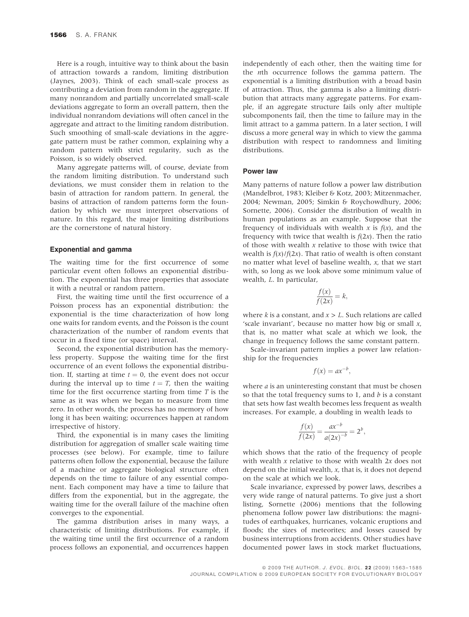Here is a rough, intuitive way to think about the basin of attraction towards a random, limiting distribution (Jaynes, 2003). Think of each small-scale process as contributing a deviation from random in the aggregate. If many nonrandom and partially uncorrelated small-scale deviations aggregate to form an overall pattern, then the individual nonrandom deviations will often cancel in the aggregate and attract to the limiting random distribution. Such smoothing of small-scale deviations in the aggregate pattern must be rather common, explaining why a random pattern with strict regularity, such as the Poisson, is so widely observed.

Many aggregate patterns will, of course, deviate from the random limiting distribution. To understand such deviations, we must consider them in relation to the basin of attraction for random pattern. In general, the basins of attraction of random patterns form the foundation by which we must interpret observations of nature. In this regard, the major limiting distributions are the cornerstone of natural history.

### Exponential and gamma

The waiting time for the first occurrence of some particular event often follows an exponential distribution. The exponential has three properties that associate it with a neutral or random pattern.

First, the waiting time until the first occurrence of a Poisson process has an exponential distribution: the exponential is the time characterization of how long one waits for random events, and the Poisson is the count characterization of the number of random events that occur in a fixed time (or space) interval.

Second, the exponential distribution has the memoryless property. Suppose the waiting time for the first occurrence of an event follows the exponential distribution. If, starting at time  $t = 0$ , the event does not occur during the interval up to time  $t = T$ , then the waiting time for the first occurrence starting from time  $T$  is the same as it was when we began to measure from time zero. In other words, the process has no memory of how long it has been waiting; occurrences happen at random irrespective of history.

Third, the exponential is in many cases the limiting distribution for aggregation of smaller scale waiting time processes (see below). For example, time to failure patterns often follow the exponential, because the failure of a machine or aggregate biological structure often depends on the time to failure of any essential component. Each component may have a time to failure that differs from the exponential, but in the aggregate, the waiting time for the overall failure of the machine often converges to the exponential.

The gamma distribution arises in many ways, a characteristic of limiting distributions. For example, if the waiting time until the first occurrence of a random process follows an exponential, and occurrences happen independently of each other, then the waiting time for the nth occurrence follows the gamma pattern. The exponential is a limiting distribution with a broad basin of attraction. Thus, the gamma is also a limiting distribution that attracts many aggregate patterns. For example, if an aggregate structure fails only after multiple subcomponents fail, then the time to failure may in the limit attract to a gamma pattern. In a later section, I will discuss a more general way in which to view the gamma distribution with respect to randomness and limiting distributions.

### Power law

Many patterns of nature follow a power law distribution (Mandelbrot, 1983; Kleiber & Kotz, 2003; Mitzenmacher, 2004; Newman, 2005; Simkin & Roychowdhury, 2006; Sornette, 2006). Consider the distribution of wealth in human populations as an example. Suppose that the frequency of individuals with wealth x is  $f(x)$ , and the frequency with twice that wealth is  $f(2x)$ . Then the ratio of those with wealth  $x$  relative to those with twice that wealth is  $f(x)/f(2x)$ . That ratio of wealth is often constant no matter what level of baseline wealth, x, that we start with, so long as we look above some minimum value of wealth, L. In particular,

$$
\frac{f(x)}{f(2x)} = k,
$$

where k is a constant, and  $x > L$ . Such relations are called 'scale invariant', because no matter how big or small x, that is, no matter what scale at which we look, the change in frequency follows the same constant pattern.

Scale-invariant pattern implies a power law relationship for the frequencies

$$
f(x) = ax^{-b},
$$

where *a* is an uninteresting constant that must be chosen so that the total frequency sums to 1, and  $b$  is a constant that sets how fast wealth becomes less frequent as wealth increases. For example, a doubling in wealth leads to

$$
\frac{f(x)}{f(2x)} = \frac{ax^{-b}}{a(2x)^{-b}} = 2^b,
$$

which shows that the ratio of the frequency of people with wealth  $x$  relative to those with wealth  $2x$  does not depend on the initial wealth,  $x$ , that is, it does not depend on the scale at which we look.

Scale invariance, expressed by power laws, describes a very wide range of natural patterns. To give just a short listing, Sornette (2006) mentions that the following phenomena follow power law distributions: the magnitudes of earthquakes, hurricanes, volcanic eruptions and floods; the sizes of meteorites; and losses caused by business interruptions from accidents. Other studies have documented power laws in stock market fluctuations,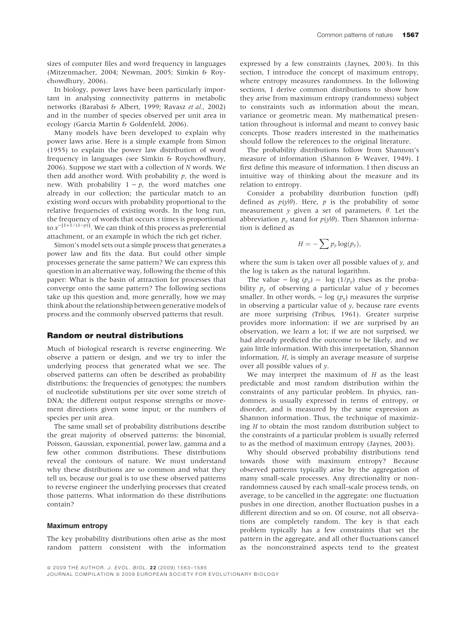sizes of computer files and word frequency in languages (Mitzenmacher, 2004; Newman, 2005; Simkin & Roychowdhury, 2006).

In biology, power laws have been particularly important in analysing connectivity patterns in metabolic networks (Barabasi & Albert, 1999; Ravasz et al., 2002) and in the number of species observed per unit area in ecology (Garcia Martin & Goldenfeld, 2006).

Many models have been developed to explain why power laws arise. Here is a simple example from Simon (1955) to explain the power law distribution of word frequency in languages (see Simkin & Roychowdhury, 2006). Suppose we start with a collection of N words. We then add another word. With probability  $p$ , the word is new. With probability  $1 - p$ , the word matches one already in our collection; the particular match to an existing word occurs with probability proportional to the relative frequencies of existing words. In the long run, the frequency of words that occurs  $x$  times is proportional to  $x^{-[1+1/(1-p)]}$ . We can think of this process as preferential attachment, or an example in which the rich get richer.

Simon's model sets out a simple process that generates a power law and fits the data. But could other simple processes generate the same pattern? We can express this question in an alternative way, following the theme of this paper: What is the basin of attraction for processes that converge onto the same pattern? The following sections take up this question and, more generally, how we may think about the relationship between generative models of process and the commonly observed patterns that result.

# Random or neutral distributions

Much of biological research is reverse engineering. We observe a pattern or design, and we try to infer the underlying process that generated what we see. The observed patterns can often be described as probability distributions: the frequencies of genotypes; the numbers of nucleotide substitutions per site over some stretch of DNA; the different output response strengths or movement directions given some input; or the numbers of species per unit area.

The same small set of probability distributions describe the great majority of observed patterns: the binomial, Poisson, Gaussian, exponential, power law, gamma and a few other common distributions. These distributions reveal the contours of nature. We must understand why these distributions are so common and what they tell us, because our goal is to use these observed patterns to reverse engineer the underlying processes that created those patterns. What information do these distributions contain?

### Maximum entropy

The key probability distributions often arise as the most random pattern consistent with the information

expressed by a few constraints (Jaynes, 2003). In this section, I introduce the concept of maximum entropy, where entropy measures randomness. In the following sections, I derive common distributions to show how they arise from maximum entropy (randomness) subject to constraints such as information about the mean, variance or geometric mean. My mathematical presentation throughout is informal and meant to convey basic concepts. Those readers interested in the mathematics should follow the references to the original literature.

The probability distributions follow from Shannon's measure of information (Shannon & Weaver, 1949). I first define this measure of information. I then discuss an intuitive way of thinking about the measure and its relation to entropy.

Consider a probability distribution function (pdf) defined as  $p(y|\theta)$ . Here, p is the probability of some measurement y given a set of parameters,  $\theta$ . Let the abbreviation  $p_v$  stand for  $p(y|\theta)$ . Then Shannon information is defined as

$$
H = -\sum p_y \log(p_y),
$$

where the sum is taken over all possible values of  $\nu$ , and the log is taken as the natural logarithm.

The value –  $log (p_y) = log (1/p_y)$  rises as the probability  $p_y$  of observing a particular value of y becomes smaller. In other words,  $- \log (p_v)$  measures the surprise in observing a particular value of  $\nu$ , because rare events are more surprising (Tribus, 1961). Greater surprise provides more information: if we are surprised by an observation, we learn a lot; if we are not surprised, we had already predicted the outcome to be likely, and we gain little information. With this interpretation, Shannon information, H, is simply an average measure of surprise over all possible values of  $\nu$ .

We may interpret the maximum of  $H$  as the least predictable and most random distribution within the constraints of any particular problem. In physics, randomness is usually expressed in terms of entropy, or disorder, and is measured by the same expression as Shannon information. Thus, the technique of maximizing H to obtain the most random distribution subject to the constraints of a particular problem is usually referred to as the method of maximum entropy (Jaynes, 2003).

Why should observed probability distributions tend towards those with maximum entropy? Because observed patterns typically arise by the aggregation of many small-scale processes. Any directionality or nonrandomness caused by each small-scale process tends, on average, to be cancelled in the aggregate: one fluctuation pushes in one direction, another fluctuation pushes in a different direction and so on. Of course, not all observations are completely random. The key is that each problem typically has a few constraints that set the pattern in the aggregate, and all other fluctuations cancel as the nonconstrained aspects tend to the greatest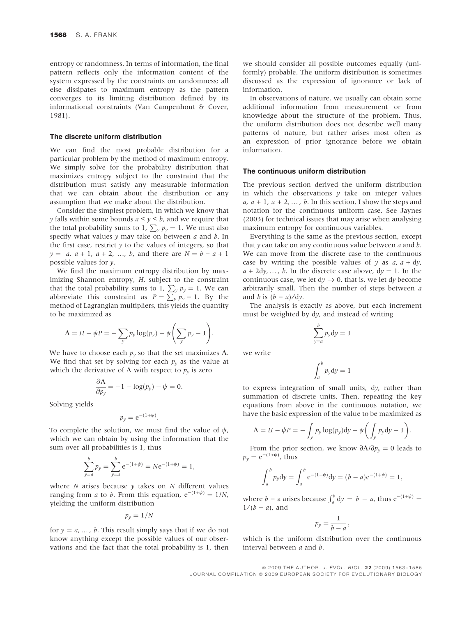entropy or randomness. In terms of information, the final pattern reflects only the information content of the system expressed by the constraints on randomness; all else dissipates to maximum entropy as the pattern converges to its limiting distribution defined by its informational constraints (Van Campenhout & Cover, 1981).

#### The discrete uniform distribution

We can find the most probable distribution for a particular problem by the method of maximum entropy. We simply solve for the probability distribution that maximizes entropy subject to the constraint that the distribution must satisfy any measurable information that we can obtain about the distribution or any assumption that we make about the distribution.

Consider the simplest problem, in which we know that *y* falls within some bounds  $a \le y \le b$ , and we require that the total probability sums to 1,  $\sum_{y} p_y = 1$ . We must also specify what values  $y$  may take on between  $a$  and  $b$ . In the first case, restrict  $y$  to the values of integers, so that  $y = a, a + 1, a + 2, ..., b$ , and there are  $N = b - a + 1$ possible values for  $\nu$ .

We find the maximum entropy distribution by maximizing Shannon entropy, H, subject to the constraint that the total probability sums to 1,  $\sum_{y} p_y = 1$ . We can abbreviate this constraint as  $P = \sum_{y} p_y - 1$ . By the method of Lagrangian multipliers, this yields the quantity to be maximized as

$$
\Lambda = H - \psi P = -\sum_{y} p_y \log(p_y) - \psi \left( \sum_{y} p_y - 1 \right).
$$

We have to choose each  $p_v$  so that the set maximizes  $\Lambda$ . We find that set by solving for each  $p_y$  as the value at which the derivative of  $\Lambda$  with respect to  $p_v$  is zero

$$
\frac{\partial \Lambda}{\partial p_y} = -1 - \log(p_y) - \psi = 0.
$$

Solving yields

$$
p_y = e^{-(1+\psi)}.
$$

To complete the solution, we must find the value of  $\psi$ , which we can obtain by using the information that the sum over all probabilities is 1, thus

$$
\sum_{y=a}^{b} p_y = \sum_{y=a}^{b} e^{-(1+\psi)} = N e^{-(1+\psi)} = 1,
$$

where  $N$  arises because  $y$  takes on  $N$  different values ranging from *a* to *b*. From this equation,  $e^{-(1+\psi)} = 1/N$ , yielding the uniform distribution

$$
p_y=1/N
$$

for  $y = a, \ldots, b$ . This result simply says that if we do not know anything except the possible values of our observations and the fact that the total probability is 1, then we should consider all possible outcomes equally (uniformly) probable. The uniform distribution is sometimes discussed as the expression of ignorance or lack of information.

In observations of nature, we usually can obtain some additional information from measurement or from knowledge about the structure of the problem. Thus, the uniform distribution does not describe well many patterns of nature, but rather arises most often as an expression of prior ignorance before we obtain information.

#### The continuous uniform distribution

The previous section derived the uniform distribution in which the observations  $y$  take on integer values a,  $a + 1$ ,  $a + 2$ , ..., b. In this section, I show the steps and notation for the continuous uniform case. See Jaynes (2003) for technical issues that may arise when analysing maximum entropy for continuous variables.

Everything is the same as the previous section, except that  $y$  can take on any continuous value between  $a$  and  $b$ . We can move from the discrete case to the continuous case by writing the possible values of  $y$  as  $a$ ,  $a + dy$ ,  $a + 2dy, \ldots, b$ . In the discrete case above,  $dy = 1$ . In the continuous case, we let  $dy \rightarrow 0$ , that is, we let dy become arbitrarily small. Then the number of steps between a and *b* is  $(b - a)/dy$ .

The analysis is exactly as above, but each increment must be weighted by dy, and instead of writing

$$
\sum_{y=a}^{b} p_y \mathrm{d}y = 1
$$

we write

$$
\int_a^b p_y \mathrm{d}y = 1
$$

to express integration of small units, dy, rather than summation of discrete units. Then, repeating the key equations from above in the continuous notation, we have the basic expression of the value to be maximized as

$$
\Lambda = H - \psi P = -\int_{y} p_{y} \log(p_{y}) dy - \psi \left( \int_{y} p_{y} dy - 1 \right).
$$

From the prior section, we know  $\partial \Lambda / \partial p_y = 0$  leads to  $p_y = e^{-(1+\psi)}$ , thus

$$
\int_a^b p_y dy = \int_a^b e^{-(1+\psi)} dy = (b-a)e^{-(1+\psi)} = 1,
$$

where  $b - a$  arises because  $\int_a^b dy = b - a$ , thus  $e^{-(1+\psi)} =$  $1/(b - a)$ , and

$$
p_y=\frac{1}{b-a},
$$

which is the uniform distribution over the continuous interval between a and b.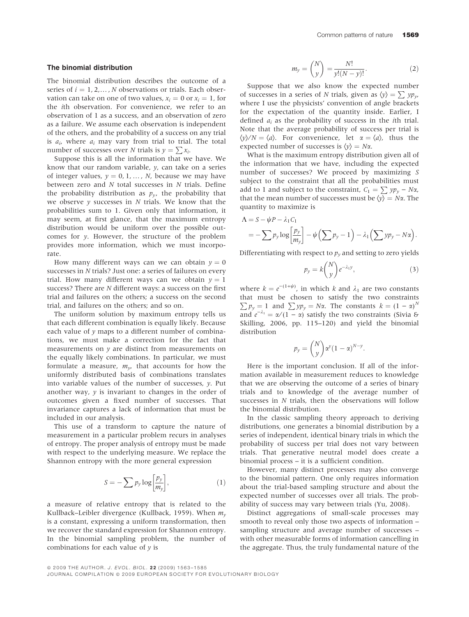### The binomial distribution

The binomial distribution describes the outcome of a series of  $i = 1, 2, \ldots, N$  observations or trials. Each observation can take on one of two values,  $x_i = 0$  or  $x_i = 1$ , for the ith observation. For convenience, we refer to an observation of 1 as a success, and an observation of zero as a failure. We assume each observation is independent of the others, and the probability of a success on any trial is  $a_i$ , where  $a_i$  may vary from trial to trial. The total number of successes over N trials is  $y = \sum x_i$ .

Suppose this is all the information that we have. We know that our random variable, y, can take on a series of integer values,  $y = 0, 1, \ldots, N$ , because we may have between zero and N total successes in N trials. Define the probability distribution as  $p_{\nu}$ , the probability that we observe  $y$  successes in  $N$  trials. We know that the probabilities sum to 1. Given only that information, it may seem, at first glance, that the maximum entropy distribution would be uniform over the possible outcomes for y. However, the structure of the problem provides more information, which we must incorporate.

How many different ways can we can obtain  $y = 0$ successes in N trials? Just one: a series of failures on every trial. How many different ways can we obtain  $y = 1$ success? There are N different ways: a success on the first trial and failures on the others; a success on the second trial, and failures on the others; and so on.

The uniform solution by maximum entropy tells us that each different combination is equally likely. Because each value of y maps to a different number of combinations, we must make a correction for the fact that measurements on  $\nu$  are distinct from measurements on the equally likely combinations. In particular, we must formulate a measure,  $m_v$ , that accounts for how the uniformly distributed basis of combinations translates into variable values of the number of successes, y. Put another way, y is invariant to changes in the order of outcomes given a fixed number of successes. That invariance captures a lack of information that must be included in our analysis.

This use of a transform to capture the nature of measurement in a particular problem recurs in analyses of entropy. The proper analysis of entropy must be made with respect to the underlying measure. We replace the Shannon entropy with the more general expression

$$
S = -\sum p_y \log \left[\frac{p_y}{m_y}\right],\tag{1}
$$

a measure of relative entropy that is related to the Kullback–Leibler divergence (Kullback, 1959). When  $m_v$ is a constant, expressing a uniform transformation, then we recover the standard expression for Shannon entropy. In the binomial sampling problem, the number of combinations for each value of  $\nu$  is

$$
m_y = \binom{N}{y} = \frac{N!}{y!(N-y)!}.
$$
 (2)

Suppose that we also know the expected number of successes in a series of N trials, given as  $\langle y \rangle = \sum y p_y$ , where I use the physicists' convention of angle brackets for the expectation of the quantity inside. Earlier, I defined  $a_i$  as the probability of success in the *i*th trial. Note that the average probability of success per trial is  $\langle v \rangle/N = \langle a \rangle$ . For convenience, let  $\alpha = \langle a \rangle$ , thus the expected number of successes is  $\langle y \rangle = N\alpha$ .

What is the maximum entropy distribution given all of the information that we have, including the expected number of successes? We proceed by maximizing S subject to the constraint that all the probabilities must add to 1 and subject to the constraint,  $C_1 = \sum y p_y - N \alpha$ , that the mean number of successes must be  $\langle y \rangle = N\alpha$ . The quantity to maximize is

$$
\begin{aligned} \Lambda &= S - \psi P - \lambda_1 C_1 \\ &= -\sum p_y \log \left[ \frac{p_y}{m_y} \right] - \psi \left( \sum p_y - 1 \right) - \lambda_1 \left( \sum yp_y - N\alpha \right). \end{aligned}
$$

we have a state of the state

Differentiating with respect to  $p_y$  and setting to zero yields

$$
p_y = k \binom{N}{y} e^{-\lambda_1 y},\tag{3}
$$

where  $k = e^{-(1+\psi)}$ , in which k and  $\lambda_1$  are two constants that must be chosen to satisfy the two constraints  $\sum p_y = 1$  and  $\sum y p_y = N\alpha$ . The constants  $k = (1 - \alpha)^N$ and  $e^{-\lambda_1} = \alpha/(1 - \alpha)$  satisfy the two constraints (Sivia & Skilling, 2006, pp. 115–120) and yield the binomial distribution

$$
p_{y} = {N \choose y} \alpha^{y} (1 - \alpha)^{N-y}.
$$

Here is the important conclusion. If all of the information available in measurement reduces to knowledge that we are observing the outcome of a series of binary trials and to knowledge of the average number of successes in N trials, then the observations will follow the binomial distribution.

In the classic sampling theory approach to deriving distributions, one generates a binomial distribution by a series of independent, identical binary trials in which the probability of success per trial does not vary between trials. That generative neutral model does create a binomial process – it is a sufficient condition.

However, many distinct processes may also converge to the binomial pattern. One only requires information about the trial-based sampling structure and about the expected number of successes over all trials. The probability of success may vary between trials (Yu, 2008).

Distinct aggregations of small-scale processes may smooth to reveal only those two aspects of information – sampling structure and average number of successes – with other measurable forms of information cancelling in the aggregate. Thus, the truly fundamental nature of the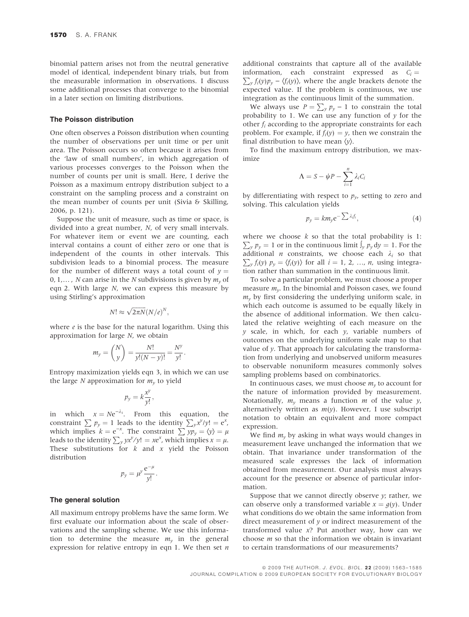binomial pattern arises not from the neutral generative model of identical, independent binary trials, but from the measurable information in observations. I discuss some additional processes that converge to the binomial in a later section on limiting distributions.

### The Poisson distribution

One often observes a Poisson distribution when counting the number of observations per unit time or per unit area. The Poisson occurs so often because it arises from the 'law of small numbers', in which aggregation of various processes converges to the Poisson when the number of counts per unit is small. Here, I derive the Poisson as a maximum entropy distribution subject to a constraint on the sampling process and a constraint on the mean number of counts per unit (Sivia & Skilling, 2006, p. 121).

Suppose the unit of measure, such as time or space, is divided into a great number, N, of very small intervals. For whatever item or event we are counting, each interval contains a count of either zero or one that is independent of the counts in other intervals. This subdivision leads to a binomial process. The measure for the number of different ways a total count of  $y =$ 0, 1,..., N can arise in the N subdivisions is given by  $m<sub>v</sub>$  of eqn 2. With large N, we can express this measure by using Stirling's approximation

$$
N! \approx \sqrt{2\pi N} (N/e)^N,
$$

where  $e$  is the base for the natural logarithm. Using this approximation for large N, we obtain

$$
m_{y} = {N \choose y} = \frac{N!}{y!(N-y)!} = \frac{N^{y}}{y!}.
$$

Entropy maximization yields eqn 3, in which we can use the large N approximation for  $m<sub>v</sub>$  to yield

$$
p_y = k \frac{x^y}{y!},
$$

in which  $x = Ne^{-\lambda_1}$ . From this equation, the constraint  $\sum p_y = 1$  leads to the identity  $\sum_y x^y/y! = e^x$ , which implies  $k = e^{-x}$ . The constraint  $\sum y p_y = \langle y \rangle = \mu$ leads to the identity  $\sum_{y} yx^{y}/y! = xe^{x}$ , which implies  $x = \mu$ . These substitutions for  $k$  and  $x$  yield the Poisson distribution

$$
p_y = \mu^y \frac{e^{-\mu}}{y!}.
$$

### The general solution

All maximum entropy problems have the same form. We first evaluate our information about the scale of observations and the sampling scheme. We use this information to determine the measure  $m<sub>v</sub>$  in the general expression for relative entropy in eqn 1. We then set  $n$  additional constraints that capture all of the available  $\sum_{y} f_i(y)p_y - \langle f_i(y) \rangle$ , where the angle brackets denote the information, each constraint expressed as  $C_i =$ expected value. If the problem is continuous, we use integration as the continuous limit of the summation.

We always use  $P = \sum_{y} p_y - 1$  to constrain the total probability to 1. We can use any function of  $y$  for the other  $f_i$  according to the appropriate constraints for each problem. For example, if  $f_i(y) = y$ , then we constrain the final distribution to have mean  $\langle y \rangle$ .

To find the maximum entropy distribution, we maximize

$$
\Lambda = S - \psi P - \sum_{i=1}^{n} \lambda_i C_i
$$

by differentiating with respect to  $p_{\nu}$ , setting to zero and solving. This calculation yields

$$
p_y = km_y e^{-\sum \lambda_i f_i}, \qquad (4)
$$

where we choose  $k$  so that the total probability is 1:  $\sum_{y} p_y = 1$  or in the continuous limit  $\int_y p_y dy = 1$ . For the additional *n* constraints, we choose each  $\lambda_i$  so that  $\sum f_i(y)$   $n = |f_j(y)|$  for all  $i = 1, 2, \ldots, n$  using integra- $\sum_{y} f_i(y)$   $p_y = \langle f_i(y) \rangle$  for all  $i = 1, 2, ..., n$ , using integration rather than summation in the continuous limit.

To solve a particular problem, we must choose a proper measure  $m<sub>v</sub>$ . In the binomial and Poisson cases, we found  $m<sub>v</sub>$  by first considering the underlying uniform scale, in which each outcome is assumed to be equally likely in the absence of additional information. We then calculated the relative weighting of each measure on the y scale, in which, for each y, variable numbers of outcomes on the underlying uniform scale map to that value of y. That approach for calculating the transformation from underlying and unobserved uniform measures to observable nonuniform measures commonly solves sampling problems based on combinatorics.

In continuous cases, we must choose  $m<sub>v</sub>$  to account for the nature of information provided by measurement. Notationally,  $m_v$  means a function  $m$  of the value  $v$ , alternatively written as  $m(y)$ . However, I use subscript notation to obtain an equivalent and more compact expression.

We find  $m_v$  by asking in what ways would changes in measurement leave unchanged the information that we obtain. That invariance under transformation of the measured scale expresses the lack of information obtained from measurement. Our analysis must always account for the presence or absence of particular information.

Suppose that we cannot directly observe  $y$ ; rather, we can observe only a transformed variable  $x = q(y)$ . Under what conditions do we obtain the same information from direct measurement of y or indirect measurement of the transformed value  $x$ ? Put another way, how can we choose  $m$  so that the information we obtain is invariant to certain transformations of our measurements?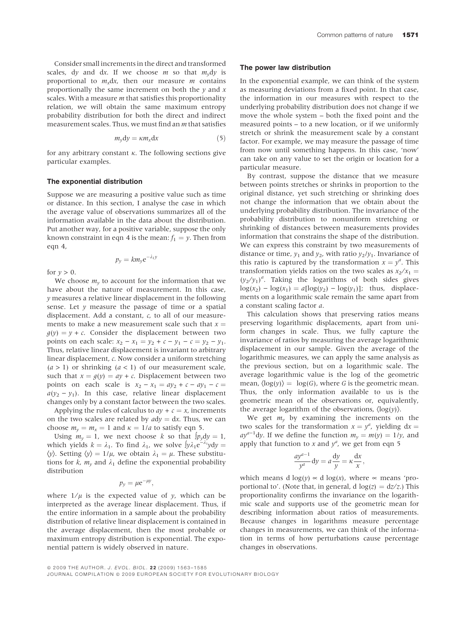Consider small increments in the direct and transformed scales, dy and dx. If we choose  $m$  so that  $m_v \, dy$  is proportional to  $m_x dx$ , then our measure m contains proportionally the same increment on both the  $y$  and  $x$ scales. With a measure  $m$  that satisfies this proportionality relation, we will obtain the same maximum entropy probability distribution for both the direct and indirect measurement scales. Thus, we must find an  $m$  that satisfies

$$
m_y dy = \kappa m_x dx \tag{5}
$$

for any arbitrary constant  $\kappa$ . The following sections give particular examples.

### The exponential distribution

Suppose we are measuring a positive value such as time or distance. In this section, I analyse the case in which the average value of observations summarizes all of the information available in the data about the distribution. Put another way, for a positive variable, suppose the only known constraint in eqn 4 is the mean:  $f_1 = y$ . Then from eqn 4,

$$
p_y = km_y e^{-\lambda_1 y}
$$

for  $y > 0$ .

We choose  $m<sub>v</sub>$  to account for the information that we have about the nature of measurement. In this case, y measures a relative linear displacement in the following sense. Let y measure the passage of time or a spatial displacement. Add a constant, c, to all of our measurements to make a new measurement scale such that  $x =$  $g(y) = y + c$ . Consider the displacement between two points on each scale:  $x_2 - x_1 = y_2 + c - y_1 - c = y_2 - y_1$ . Thus, relative linear displacement is invariant to arbitrary linear displacement, c. Now consider a uniform stretching  $(a > 1)$  or shrinking  $(a < 1)$  of our measurement scale, such that  $x = g(y) = ay + c$ . Displacement between two points on each scale is  $x_2 - x_1 = ay_2 + c - ay_1 - c =$  $a(y_2 - y_1)$ . In this case, relative linear displacement changes only by a constant factor between the two scales.

Applying the rules of calculus to  $ay + c = x$ , increments on the two scales are related by  $a dy = dx$ . Thus, we can choose  $m_v = m_x = 1$  and  $\kappa = 1/a$  to satisfy eqn 5.

Using  $m_y = 1$ , we next choose k so that  $|p_y dy = 1$ , which yields  $k = \lambda_1$ . To find  $\lambda_1$ , we solve  $\int y \lambda_1 e^{-\lambda_1} y dy =$  $\langle y \rangle$ . Setting  $\langle y \rangle = 1/\mu$ , we obtain  $\lambda_1 = \mu$ . These substitutions for k,  $m_v$  and  $\lambda_1$  define the exponential probability distribution

$$
p_y=\mu e^{-\mu y},
$$

where  $1/\mu$  is the expected value of y, which can be interpreted as the average linear displacement. Thus, if the entire information in a sample about the probability distribution of relative linear displacement is contained in the average displacement, then the most probable or maximum entropy distribution is exponential. The exponential pattern is widely observed in nature.

#### The power law distribution

In the exponential example, we can think of the system as measuring deviations from a fixed point. In that case, the information in our measures with respect to the underlying probability distribution does not change if we move the whole system – both the fixed point and the measured points – to a new location, or if we uniformly stretch or shrink the measurement scale by a constant factor. For example, we may measure the passage of time from now until something happens. In this case, 'now' can take on any value to set the origin or location for a particular measure.

By contrast, suppose the distance that we measure between points stretches or shrinks in proportion to the original distance, yet such stretching or shrinking does not change the information that we obtain about the underlying probability distribution. The invariance of the probability distribution to nonuniform stretching or shrinking of distances between measurements provides information that constrains the shape of the distribution. We can express this constraint by two measurements of distance or time,  $y_1$  and  $y_2$ , with ratio  $y_2/y_1$ . Invariance of this ratio is captured by the transformation  $x = y^a$ . This transformation yields ratios on the two scales as  $x_2 / x_1 =$  $(y_2/y_1)^a$ . Taking the logarithms of both sides gives  $log(x_2) - log(x_1) = a[log(y_2) - log(y_1)];$  thus, displacements on a logarithmic scale remain the same apart from a constant scaling factor a.

This calculation shows that preserving ratios means preserving logarithmic displacements, apart from uniform changes in scale. Thus, we fully capture the invariance of ratios by measuring the average logarithmic displacement in our sample. Given the average of the logarithmic measures, we can apply the same analysis as the previous section, but on a logarithmic scale. The average logarithmic value is the log of the geometric mean,  $\langle \log(y) \rangle = \log(G)$ , where G is the geometric mean. Thus, the only information available to us is the geometric mean of the observations or, equivalently, the average logarithm of the observations,  $\langle \log(y) \rangle$ .

We get  $m<sub>v</sub>$  by examining the increments on the two scales for the transformation  $x = y^a$ , yielding  $dx =$  $ay^{a-1}dy$ . If we define the function  $m_y = m(y) = 1/y$ , and apply that function to x and  $y^a$ , we get from eqn 5

$$
\frac{ay^{a-1}}{y^a}dy = a\frac{dy}{y} = \kappa \frac{dx}{x},
$$

which means d  $log(y) \propto d log(x)$ , where  $\infty$  means 'proportional to'. (Note that, in general, d  $log(z) = dz/z$ .) This proportionality confirms the invariance on the logarithmic scale and supports use of the geometric mean for describing information about ratios of measurements. Because changes in logarithms measure percentage changes in measurements, we can think of the information in terms of how perturbations cause percentage changes in observations.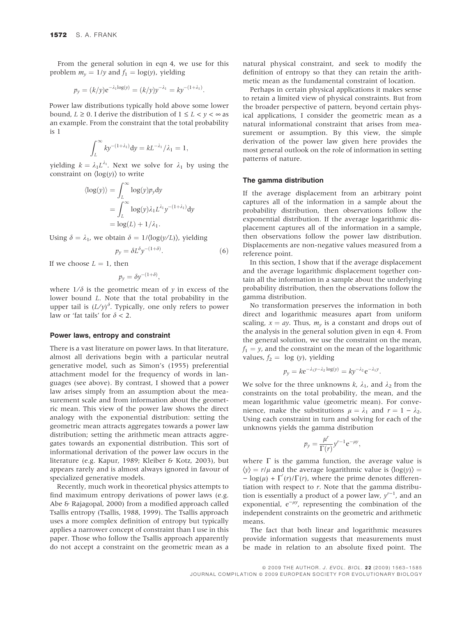From the general solution in eqn 4, we use for this problem  $m_v = 1/y$  and  $f_1 = \log(y)$ , yielding

$$
p_y = (k/y)e^{-\lambda_1 \log(y)} = (k/y)y^{-\lambda_1} = ky^{-(1+\lambda_1)}.
$$

Power law distributions typically hold above some lower bound,  $L \ge 0$ . I derive the distribution of  $1 \le L < y < \infty$  as an example. From the constraint that the total probability is 1

$$
\int_L^{\infty} ky^{-(1+\lambda_1)} dy = kL^{-\lambda_1}/\lambda_1 = 1,
$$

yielding  $k = \lambda_1 L^{\lambda_1}$ . Next we solve for  $\lambda_1$  by using the constraint on  $\langle \log(y) \rangle$  to write

$$
\langle \log(y) \rangle = \int_{L}^{\infty} \log(y) p_{y} dy
$$
  
= 
$$
\int_{L}^{\infty} \log(y) \lambda_{1} L^{\lambda_{1}} y^{-(1+\lambda_{1})} dy
$$
  
= 
$$
\log(L) + 1/\lambda_{1}.
$$

Using  $\delta = \lambda_1$ , we obtain  $\delta = 1/\langle \log(y/L) \rangle$ , yielding

$$
p_y = \delta L^{\delta} y^{-(1+\delta)}.
$$
 (6)

If we choose  $L = 1$ , then

$$
p_y = \delta y^{-(1+\delta)},
$$

where  $1/\delta$  is the geometric mean of y in excess of the lower bound L. Note that the total probability in the upper tail is  $(L/y)^{\delta}$ . Typically, one only refers to power law or 'fat tails' for  $\delta$  < 2.

# Power laws, entropy and constraint

There is a vast literature on power laws. In that literature, almost all derivations begin with a particular neutral generative model, such as Simon's (1955) preferential attachment model for the frequency of words in languages (see above). By contrast, I showed that a power law arises simply from an assumption about the measurement scale and from information about the geometric mean. This view of the power law shows the direct analogy with the exponential distribution: setting the geometric mean attracts aggregates towards a power law distribution; setting the arithmetic mean attracts aggregates towards an exponential distribution. This sort of informational derivation of the power law occurs in the literature (e.g. Kapur, 1989; Kleiber & Kotz, 2003), but appears rarely and is almost always ignored in favour of specialized generative models.

Recently, much work in theoretical physics attempts to find maximum entropy derivations of power laws (e.g. Abe & Rajagopal, 2000) from a modified approach called Tsallis entropy (Tsallis, 1988, 1999). The Tsallis approach uses a more complex definition of entropy but typically applies a narrower concept of constraint than I use in this paper. Those who follow the Tsallis approach apparently do not accept a constraint on the geometric mean as a natural physical constraint, and seek to modify the definition of entropy so that they can retain the arithmetic mean as the fundamental constraint of location.

Perhaps in certain physical applications it makes sense to retain a limited view of physical constraints. But from the broader perspective of pattern, beyond certain physical applications, I consider the geometric mean as a natural informational constraint that arises from measurement or assumption. By this view, the simple derivation of the power law given here provides the most general outlook on the role of information in setting patterns of nature.

#### The gamma distribution

If the average displacement from an arbitrary point captures all of the information in a sample about the probability distribution, then observations follow the exponential distribution. If the average logarithmic displacement captures all of the information in a sample, then observations follow the power law distribution. Displacements are non-negative values measured from a reference point.

In this section, I show that if the average displacement and the average logarithmic displacement together contain all the information in a sample about the underlying probability distribution, then the observations follow the gamma distribution.

No transformation preserves the information in both direct and logarithmic measures apart from uniform scaling,  $x = ay$ . Thus,  $m<sub>v</sub>$  is a constant and drops out of the analysis in the general solution given in eqn 4. From the general solution, we use the constraint on the mean,  $f_1 = y$ , and the constraint on the mean of the logarithmic values,  $f_2 = \log(y)$ , yielding

$$
p_y = k e^{-\lambda_1 y - \lambda_2 \log(y)} = k y^{-\lambda_2} e^{-\lambda_1 y}.
$$

We solve for the three unknowns k,  $\lambda_1$ , and  $\lambda_2$  from the constraints on the total probability, the mean, and the mean logarithmic value (geometric mean). For convenience, make the substitutions  $\mu = \lambda_1$  and  $r = 1 - \lambda_2$ . Using each constraint in turn and solving for each of the unknowns yields the gamma distribution

$$
p_y = \frac{\mu^r}{\Gamma(r)} y^{r-1} e^{-\mu y},
$$

where  $\Gamma$  is the gamma function, the average value is  $\langle y \rangle = r/\mu$  and the average logarithmic value is  $\langle \log(y) \rangle =$  $-\log(\mu) + \Gamma'(r)/\Gamma(r)$ , where the prime denotes differentiation with respect to  $r$ . Note that the gamma distribution is essentially a product of a power law,  $y^{r-1}$ , and an exponential,  $e^{-\mu y}$ , representing the combination of the independent constraints on the geometric and arithmetic means.

The fact that both linear and logarithmic measures provide information suggests that measurements must be made in relation to an absolute fixed point. The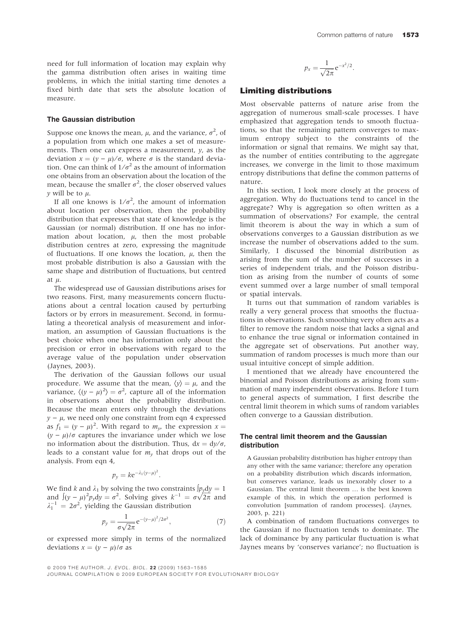need for full information of location may explain why the gamma distribution often arises in waiting time problems, in which the initial starting time denotes a fixed birth date that sets the absolute location of measure.

### The Gaussian distribution

Suppose one knows the mean,  $\mu$ , and the variance,  $\sigma^2$ , of a population from which one makes a set of measurements. Then one can express a measurement, y, as the deviation  $x = (y - \mu)/\sigma$ , where  $\sigma$  is the standard deviation. One can think of  $1/\sigma^2$  as the amount of information one obtains from an observation about the location of the mean, because the smaller  $\sigma^2$ , the closer observed values  $\nu$  will be to  $\mu$ .

If all one knows is  $1/\sigma^2$ , the amount of information about location per observation, then the probability distribution that expresses that state of knowledge is the Gaussian (or normal) distribution. If one has no information about location,  $\mu$ , then the most probable distribution centres at zero, expressing the magnitude of fluctuations. If one knows the location,  $\mu$ , then the most probable distribution is also a Gaussian with the same shape and distribution of fluctuations, but centred at  $\mu$ .

The widespread use of Gaussian distributions arises for two reasons. First, many measurements concern fluctuations about a central location caused by perturbing factors or by errors in measurement. Second, in formulating a theoretical analysis of measurement and information, an assumption of Gaussian fluctuations is the best choice when one has information only about the precision or error in observations with regard to the average value of the population under observation (Jaynes, 2003).

The derivation of the Gaussian follows our usual procedure. We assume that the mean,  $\langle y \rangle = \mu$ , and the variance,  $\langle (y - \mu)^2 \rangle = \sigma^2$ , capture all of the information in observations about the probability distribution. Because the mean enters only through the deviations  $y - \mu$ , we need only one constraint from eqn 4 expressed as  $f_1 = (y - \mu)^2$ . With regard to  $m_y$ , the expression  $x =$  $(y - \mu)/\sigma$  captures the invariance under which we lose no information about the distribution. Thus,  $dx = dy / \sigma$ , leads to a constant value for  $m<sub>v</sub>$  that drops out of the analysis. From eqn 4,

$$
p_y = k e^{-\lambda_1 (y - \mu)^2}.
$$

We find k and  $\lambda_1$  by solving the two constraints  $|p_y dy = 1$ we find k and  $\lambda_1$  by solving the two constraints  $p_y dy = 1$ <br>and  $\int (y - \mu)^2 p_y dy = \sigma^2$ . Solving gives  $k^{-1} = \sigma \sqrt{2\pi}$  and  $\lambda_1^{-1} = 2\sigma^2$ , yielding the Gaussian distribution

$$
p_y = \frac{1}{\sigma\sqrt{2\pi}} e^{-(y-\mu)^2/2\sigma^2},
$$
 (7)

or expressed more simply in terms of the normalized deviations  $x = (y - \mu)/\sigma$  as

$$
p_x = \frac{1}{\sqrt{2\pi}} e^{-x^2/2}.
$$

# Limiting distributions

Most observable patterns of nature arise from the aggregation of numerous small-scale processes. I have emphasized that aggregation tends to smooth fluctuations, so that the remaining pattern converges to maximum entropy subject to the constraints of the information or signal that remains. We might say that, as the number of entities contributing to the aggregate increases, we converge in the limit to those maximum entropy distributions that define the common patterns of nature.

In this section, I look more closely at the process of aggregation. Why do fluctuations tend to cancel in the aggregate? Why is aggregation so often written as a summation of observations? For example, the central limit theorem is about the way in which a sum of observations converges to a Gaussian distribution as we increase the number of observations added to the sum. Similarly, I discussed the binomial distribution as arising from the sum of the number of successes in a series of independent trials, and the Poisson distribution as arising from the number of counts of some event summed over a large number of small temporal or spatial intervals.

It turns out that summation of random variables is really a very general process that smooths the fluctuations in observations. Such smoothing very often acts as a filter to remove the random noise that lacks a signal and to enhance the true signal or information contained in the aggregate set of observations. Put another way, summation of random processes is much more than our usual intuitive concept of simple addition.

I mentioned that we already have encountered the binomial and Poisson distributions as arising from summation of many independent observations. Before I turn to general aspects of summation, I first describe the central limit theorem in which sums of random variables often converge to a Gaussian distribution.

# The central limit theorem and the Gaussian distribution

A Gaussian probability distribution has higher entropy than any other with the same variance; therefore any operation on a probability distribution which discards information, but conserves variance, leads us inexorably closer to a Gaussian. The central limit theorem … is the best known example of this, in which the operation performed is convolution [summation of random processes]. (Jaynes, 2003, p. 221)

A combination of random fluctuations converges to the Gaussian if no fluctuation tends to dominate. The lack of dominance by any particular fluctuation is what Jaynes means by 'conserves variance'; no fluctuation is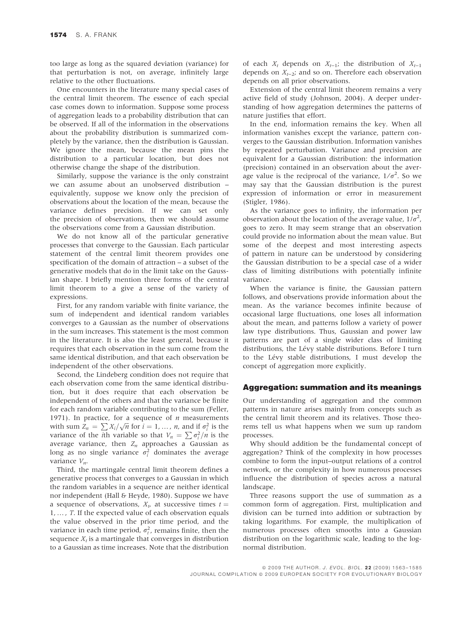too large as long as the squared deviation (variance) for that perturbation is not, on average, infinitely large relative to the other fluctuations.

One encounters in the literature many special cases of the central limit theorem. The essence of each special case comes down to information. Suppose some process of aggregation leads to a probability distribution that can be observed. If all of the information in the observations about the probability distribution is summarized completely by the variance, then the distribution is Gaussian. We ignore the mean, because the mean pins the distribution to a particular location, but does not otherwise change the shape of the distribution.

Similarly, suppose the variance is the only constraint we can assume about an unobserved distribution – equivalently, suppose we know only the precision of observations about the location of the mean, because the variance defines precision. If we can set only the precision of observations, then we should assume the observations come from a Gaussian distribution.

We do not know all of the particular generative processes that converge to the Gaussian. Each particular statement of the central limit theorem provides one specification of the domain of attraction – a subset of the generative models that do in the limit take on the Gaussian shape. I briefly mention three forms of the central limit theorem to a give a sense of the variety of expressions.

First, for any random variable with finite variance, the sum of independent and identical random variables converges to a Gaussian as the number of observations in the sum increases. This statement is the most common in the literature. It is also the least general, because it requires that each observation in the sum come from the same identical distribution, and that each observation be independent of the other observations.

Second, the Lindeberg condition does not require that each observation come from the same identical distribution, but it does require that each observation be independent of the others and that the variance be finite for each random variable contributing to the sum (Feller, 1971). In practice, for a sequence of  $n$  measurements with sum  $Z_n = \sum X_i/\sqrt{n}$  for  $i = 1, ..., n$ , and if  $\sigma_i^2$  is the variance of the *i*th variable so that  $V_n = \sum \sigma_i^2/n$  is the average variance, then  $Z_n$  approaches a Gaussian as long as no single variance  $\sigma_i^2$  dominates the average variance  $V_n$ .

Third, the martingale central limit theorem defines a generative process that converges to a Gaussian in which the random variables in a sequence are neither identical nor independent (Hall & Heyde, 1980). Suppose we have a sequence of observations,  $X_t$ , at successive times  $t =$ 1,…, T. If the expected value of each observation equals the value observed in the prior time period, and the variance in each time period,  $\sigma_t^2$ , remains finite, then the sequence  $X_t$  is a martingale that converges in distribution to a Gaussian as time increases. Note that the distribution of each  $X_t$  depends on  $X_{t-1}$ ; the distribution of  $X_{t-1}$ depends on  $X_{t-2}$ ; and so on. Therefore each observation depends on all prior observations.

Extension of the central limit theorem remains a very active field of study (Johnson, 2004). A deeper understanding of how aggregation determines the patterns of nature justifies that effort.

In the end, information remains the key. When all information vanishes except the variance, pattern converges to the Gaussian distribution. Information vanishes by repeated perturbation. Variance and precision are equivalent for a Gaussian distribution: the information (precision) contained in an observation about the average value is the reciprocal of the variance,  $1/\sigma^2$ . So we may say that the Gaussian distribution is the purest expression of information or error in measurement (Stigler, 1986).

As the variance goes to infinity, the information per observation about the location of the average value,  $1/\sigma^2$ , goes to zero. It may seem strange that an observation could provide no information about the mean value. But some of the deepest and most interesting aspects of pattern in nature can be understood by considering the Gaussian distribution to be a special case of a wider class of limiting distributions with potentially infinite variance.

When the variance is finite, the Gaussian pattern follows, and observations provide information about the mean. As the variance becomes infinite because of occasional large fluctuations, one loses all information about the mean, and patterns follow a variety of power law type distributions. Thus, Gaussian and power law patterns are part of a single wider class of limiting distributions, the Lévy stable distributions. Before I turn to the Lévy stable distributions, I must develop the concept of aggregation more explicitly.

# Aggregation: summation and its meanings

Our understanding of aggregation and the common patterns in nature arises mainly from concepts such as the central limit theorem and its relatives. Those theorems tell us what happens when we sum up random processes.

Why should addition be the fundamental concept of aggregation? Think of the complexity in how processes combine to form the input–output relations of a control network, or the complexity in how numerous processes influence the distribution of species across a natural landscape.

Three reasons support the use of summation as a common form of aggregation. First, multiplication and division can be turned into addition or subtraction by taking logarithms. For example, the multiplication of numerous processes often smooths into a Gaussian distribution on the logarithmic scale, leading to the lognormal distribution.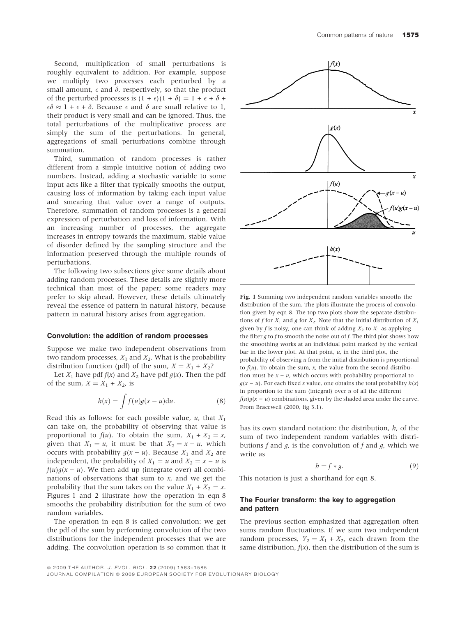Second, multiplication of small perturbations is roughly equivalent to addition. For example, suppose we multiply two processes each perturbed by a small amount,  $\epsilon$  and  $\delta$ , respectively, so that the product of the perturbed processes is  $(1 + \epsilon)(1 + \delta) = 1 + \epsilon + \delta + \delta$  $\epsilon \delta \approx 1 + \epsilon + \delta$ . Because  $\epsilon$  and  $\delta$  are small relative to 1, their product is very small and can be ignored. Thus, the total perturbations of the multiplicative process are simply the sum of the perturbations. In general, aggregations of small perturbations combine through summation.

Third, summation of random processes is rather different from a simple intuitive notion of adding two numbers. Instead, adding a stochastic variable to some input acts like a filter that typically smooths the output, causing loss of information by taking each input value and smearing that value over a range of outputs. Therefore, summation of random processes is a general expression of perturbation and loss of information. With an increasing number of processes, the aggregate increases in entropy towards the maximum, stable value of disorder defined by the sampling structure and the information preserved through the multiple rounds of perturbations.

The following two subsections give some details about adding random processes. These details are slightly more technical than most of the paper; some readers may prefer to skip ahead. However, these details ultimately reveal the essence of pattern in natural history, because pattern in natural history arises from aggregation.

# Convolution: the addition of random processes

Suppose we make two independent observations from two random processes,  $X_1$  and  $X_2$ . What is the probability distribution function (pdf) of the sum,  $X = X_1 + X_2$ ?

Let  $X_1$  have pdf  $f(x)$  and  $X_2$  have pdf  $g(x)$ . Then the pdf of the sum,  $X = X_1 + X_2$ , is

$$
h(x) = \int f(u)g(x - u) \mathrm{d}u. \tag{8}
$$

Read this as follows: for each possible value, u, that  $X_1$ can take on, the probability of observing that value is proportional to  $f(u)$ . To obtain the sum,  $X_1 + X_2 = x$ , given that  $X_1 = u$ , it must be that  $X_2 = x - u$ , which occurs with probability  $g(x - u)$ . Because  $X_1$  and  $X_2$  are independent, the probability of  $X_1 = u$  and  $X_2 = x - u$  is  $f(u)g(x - u)$ . We then add up (integrate over) all combinations of observations that sum to  $x$ , and we get the probability that the sum takes on the value  $X_1 + X_2 = x$ . Figures 1 and 2 illustrate how the operation in eqn 8 smooths the probability distribution for the sum of two random variables.

The operation in eqn 8 is called convolution: we get the pdf of the sum by performing convolution of the two distributions for the independent processes that we are adding. The convolution operation is so common that it



Fig. 1 Summing two independent random variables smooths the distribution of the sum. The plots illustrate the process of convolution given by eqn 8. The top two plots show the separate distributions of f for  $X_1$  and g for  $X_2$ . Note that the initial distribution of  $X_1$ given by f is noisy; one can think of adding  $X_2$  to  $X_1$  as applying the filter  $g$  to  $f$  to smooth the noise out of  $f$ . The third plot shows how the smoothing works at an individual point marked by the vertical bar in the lower plot. At that point,  $u$ , in the third plot, the probability of observing  $u$  from the initial distribution is proportional to  $f(u)$ . To obtain the sum, x, the value from the second distribution must be  $x - u$ , which occurs with probability proportional to  $g(x - u)$ . For each fixed x value, one obtains the total probability  $h(x)$ in proportion to the sum (integral) over  $u$  of all the different  $f(u)g(x - u)$  combinations, given by the shaded area under the curve. From Bracewell (2000, fig 3.1).

has its own standard notation: the distribution, h, of the sum of two independent random variables with distributions  $f$  and  $g$ , is the convolution of  $f$  and  $g$ , which we write as

$$
h = f * g. \tag{9}
$$

This notation is just a shorthand for eqn 8.

# The Fourier transform: the key to aggregation and pattern

The previous section emphasized that aggregation often sums random fluctuations. If we sum two independent random processes,  $Y_2 = X_1 + X_2$ , each drawn from the same distribution,  $f(x)$ , then the distribution of the sum is

© 2009 THE AUTHOR. J. EVOL. BIOL. 22 (2009) 1563-1585

JOURNAL COMPILATION © 2009 EUROPEAN SOCIETY FOR EVOLUTIONARY BIOLOGY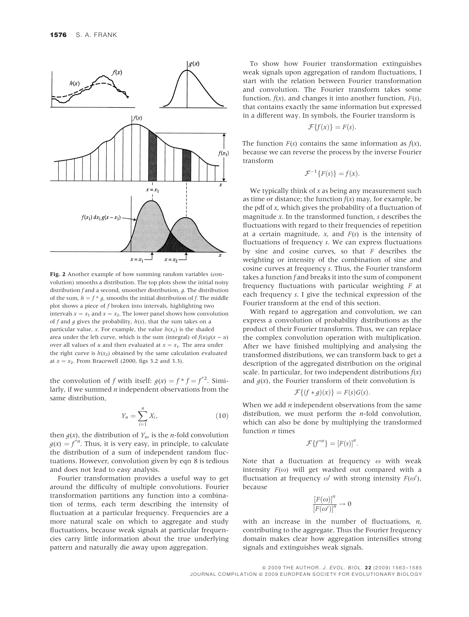

Fig. 2 Another example of how summing random variables (convolution) smooths a distribution. The top plots show the initial noisy distribution f and a second, smoother distribution, g. The distribution of the sum,  $h = f * g$ , smooths the initial distribution of f. The middle plot shows a piece of f broken into intervals, highlighting two intervals  $x = x_1$  and  $x = x_2$ . The lower panel shows how convolution of f and g gives the probability,  $h(x)$ , that the sum takes on a particular value, x. For example, the value  $h(x_1)$  is the shaded area under the left curve, which is the sum (integral) of  $f(u)g(x - u)$ over all values of u and then evaluated at  $x = x_1$ . The area under the right curve is  $h(x_2)$  obtained by the same calculation evaluated at  $x = x_2$ . From Bracewell (2000, figs 3.2 and 3.3).

the convolution of f with itself:  $g(x) = f * f = f^{*2}$ . Similarly, if we summed  $n$  independent observations from the same distribution,

$$
Y_n = \sum_{i=1}^n X_i,\tag{10}
$$

then  $g(x)$ , the distribution of  $Y_n$ , is the *n*-fold convolution  $g(x) = f^{*n}$ . Thus, it is very easy, in principle, to calculate the distribution of a sum of independent random fluctuations. However, convolution given by eqn 8 is tedious and does not lead to easy analysis.

Fourier transformation provides a useful way to get around the difficulty of multiple convolutions. Fourier transformation partitions any function into a combination of terms, each term describing the intensity of fluctuation at a particular frequency. Frequencies are a more natural scale on which to aggregate and study fluctuations, because weak signals at particular frequencies carry little information about the true underlying pattern and naturally die away upon aggregation.

To show how Fourier transformation extinguishes weak signals upon aggregation of random fluctuations, I start with the relation between Fourier transformation and convolution. The Fourier transform takes some function,  $f(x)$ , and changes it into another function,  $F(s)$ , that contains exactly the same information but expressed in a different way. In symbols, the Fourier transform is

$$
\mathcal{F}{f(x)} = F(s).
$$

The function  $F(s)$  contains the same information as  $f(x)$ , because we can reverse the process by the inverse Fourier transform

$$
\mathcal{F}^{-1}\lbrace F(s)\rbrace = f(x).
$$

We typically think of  $x$  as being any measurement such as time or distance; the function  $f(x)$  may, for example, be the pdf of  $x$ , which gives the probability of a fluctuation of magnitude  $x$ . In the transformed function,  $s$  describes the fluctuations with regard to their frequencies of repetition at a certain magnitude, x, and  $F(s)$  is the intensity of fluctuations of frequency s. We can express fluctuations by sine and cosine curves, so that  $F$  describes the weighting or intensity of the combination of sine and cosine curves at frequency s. Thus, the Fourier transform takes a function  $f$  and breaks it into the sum of component frequency fluctuations with particular weighting  $F$  at each frequency s. I give the technical expression of the Fourier transform at the end of this section.

With regard to aggregation and convolution, we can express a convolution of probability distributions as the product of their Fourier transforms. Thus, we can replace the complex convolution operation with multiplication. After we have finished multiplying and analysing the transformed distributions, we can transform back to get a description of the aggregated distribution on the original scale. In particular, for two independent distributions  $f(x)$ and  $g(x)$ , the Fourier transform of their convolution is

$$
\mathcal{F}\{(f * g)(x)\} = F(s)G(s).
$$

When we add  $n$  independent observations from the same distribution, we must perform the  $n$ -fold convolution, which can also be done by multiplying the transformed function  $n$  times

$$
\mathcal{F}\{f^{*n}\}=[F(s)]^n.
$$

Note that a fluctuation at frequency  $\omega$  with weak intensity  $F(\omega)$  will get washed out compared with a fluctuation at frequency  $\omega'$  with strong intensity  $F(\omega')$ , because

$$
\frac{[F(\omega)]^n}{[F(\omega')]^n} \to 0
$$

with an increase in the number of fluctuations,  $n$ , contributing to the aggregate. Thus the Fourier frequency domain makes clear how aggregation intensifies strong signals and extinguishes weak signals.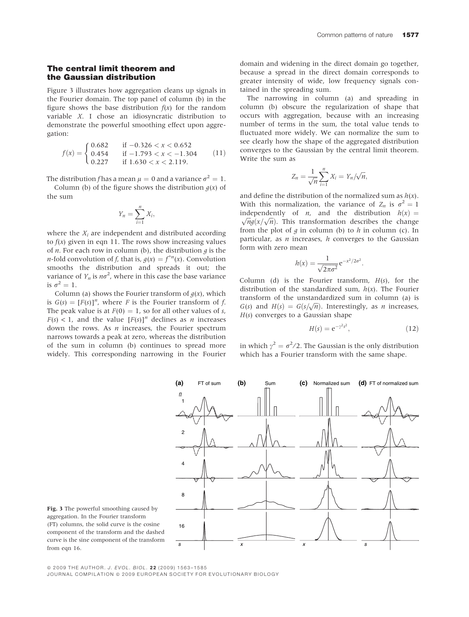# The central limit theorem and the Gaussian distribution

Figure 3 illustrates how aggregation cleans up signals in the Fourier domain. The top panel of column (b) in the figure shows the base distribution  $f(x)$  for the random variable X. I chose an idiosyncratic distribution to demonstrate the powerful smoothing effect upon aggregation:

$$
f(x) = \begin{cases} 0.682 & \text{if } -0.326 < x < 0.652 \\ 0.454 & \text{if } -1.793 < x < -1.304 \\ 0.227 & \text{if } 1.630 < x < 2.119. \end{cases} \tag{11}
$$

The distribution f has a mean  $\mu = 0$  and a variance  $\sigma^2 = 1$ .

Column (b) of the figure shows the distribution  $g(x)$  of the sum

$$
Y_n = \sum_{i=1}^n X_i,
$$

where the  $X_i$  are independent and distributed according to  $f(x)$  given in eqn 11. The rows show increasing values of *n*. For each row in column (b), the distribution *g* is the *n*-fold convolution of *f*, that is,  $g(x) = f^{*n}(x)$ . Convolution smooths the distribution and spreads it out; the variance of  $Y_n$  is  $n\sigma^2$ , where in this case the base variance is  $\sigma^2 = 1$ .

Column (a) shows the Fourier transform of  $g(x)$ , which is  $G(s) = [F(s)]^n$ , where F is the Fourier transform of f. The peak value is at  $F(0) = 1$ , so for all other values of s,  $F(s)$  < 1, and the value  $[F(s)]^n$  declines as *n* increases down the rows. As  $n$  increases, the Fourier spectrum narrows towards a peak at zero, whereas the distribution of the sum in column (b) continues to spread more widely. This corresponding narrowing in the Fourier

domain and widening in the direct domain go together, because a spread in the direct domain corresponds to greater intensity of wide, low frequency signals contained in the spreading sum.

The narrowing in column (a) and spreading in column (b) obscure the regularization of shape that occurs with aggregation, because with an increasing number of terms in the sum, the total value tends to fluctuated more widely. We can normalize the sum to see clearly how the shape of the aggregated distribution converges to the Gaussian by the central limit theorem. Write the sum as

$$
Z_n = \frac{1}{\sqrt{n}} \sum_{i=1}^n X_i = Y_n / \sqrt{n},
$$

and define the distribution of the normalized sum as  $h(x)$ . With this normalization, the variance of  $Z_n$  is  $\sigma^2 = 1$ independently of *n*, and the distribution  $h(x) =$  $\sqrt{n}g(x/\sqrt{n})$ . This transformation describes the change from the plot of q in column (b) to h in column (c). In particular, as  $n$  increases,  $h$  converges to the Gaussian form with zero mean

$$
h(x) = \frac{1}{\sqrt{2\pi\sigma^2}} e^{-x^2/2\sigma^2}.
$$

Column (d) is the Fourier transform,  $H(s)$ , for the distribution of the standardized sum,  $h(x)$ . The Fourier transform of the unstandardized sum in column (a) is G(s) and  $H(s) = G(s/\sqrt{n})$ . Interestingly, as *n* increases,  $H(s)$  converges to a Gaussian shape

$$
H(s) = e^{-\gamma^2 s^2},\tag{12}
$$

in which  $\gamma^2 = \sigma^2/2$ . The Gaussian is the only distribution which has a Fourier transform with the same shape.



Fig. 3 The powerful smoothing caused by aggregation. In the Fourier transform (FT) columns, the solid curve is the cosine component of the transform and the dashed curve is the sine component of the transform from eqn 16.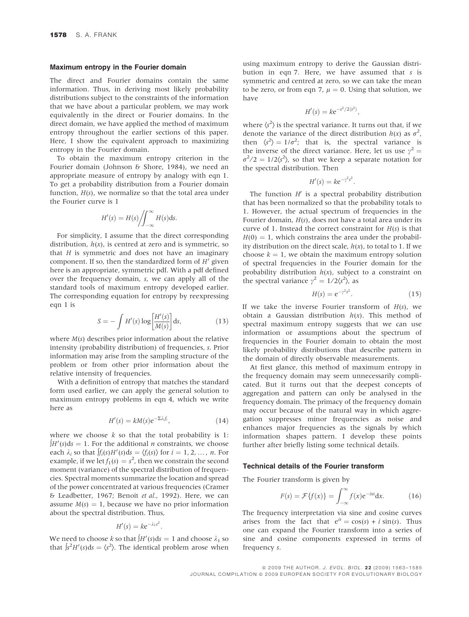#### Maximum entropy in the Fourier domain

The direct and Fourier domains contain the same information. Thus, in deriving most likely probability distributions subject to the constraints of the information that we have about a particular problem, we may work equivalently in the direct or Fourier domains. In the direct domain, we have applied the method of maximum entropy throughout the earlier sections of this paper. Here, I show the equivalent approach to maximizing entropy in the Fourier domain.

To obtain the maximum entropy criterion in the Fourier domain (Johnson & Shore, 1984), we need an appropriate measure of entropy by analogy with eqn 1. To get a probability distribution from a Fourier domain function,  $H(s)$ , we normalize so that the total area under the Fourier curve is 1

$$
H'(s) = H(s) / \int_{-\infty}^{\infty} H(s) \mathrm{d} s.
$$

For simplicity, I assume that the direct corresponding distribution,  $h(x)$ , is centred at zero and is symmetric, so that  $H$  is symmetric and does not have an imaginary component. If so, then the standardized form of  $H'$  given here is an appropriate, symmetric pdf. With a pdf defined over the frequency domain, s, we can apply all of the standard tools of maximum entropy developed earlier. The corresponding equation for entropy by reexpressing eqn 1 is

$$
S = -\int H'(s) \log \left[\frac{H'(s)}{M(s)}\right] ds, \tag{13}
$$

where  $M(s)$  describes prior information about the relative intensity (probability distribution) of frequencies, s. Prior information may arise from the sampling structure of the problem or from other prior information about the relative intensity of frequencies.

With a definition of entropy that matches the standard form used earlier, we can apply the general solution to maximum entropy problems in eqn 4, which we write here as

$$
H'(s) = kM(s)e^{-\Sigma\lambda_i f_i},\tag{14}
$$

where we choose  $k$  so that the total probability is 1:  $\int H'(s)ds = 1$ . For the additional *n* constraints, we choose each  $\lambda_i$  so that  $\int f_i(s)H'(s)ds = \langle f_i(s) \rangle$  for  $i = 1, 2, ..., n$ . For example, if we let  $f_1(s) = s^2$ , then we constrain the second moment (variance) of the spectral distribution of frequencies. Spectral moments summarize the location and spread of the power concentrated at various frequencies (Cramer & Leadbetter, 1967; Benoit et al., 1992). Here, we can assume  $M(s) = 1$ , because we have no prior information about the spectral distribution. Thus,

$$
H'(s) = k e^{-\lambda_1 s^2}.
$$

We need to choose k so that  $[H'(s)]$   $ds = 1$  and choose  $\lambda_1$  so that  $\int s^2 H'(s) ds = \langle s^2 \rangle$ . The identical problem arose when using maximum entropy to derive the Gaussian distribution in eqn 7. Here, we have assumed that  $s$  is symmetric and centred at zero, so we can take the mean to be zero, or from eqn 7,  $\mu = 0$ . Using that solution, we have

$$
H'(s) = k e^{-s^2/2\langle s^2 \rangle},
$$

where  $\langle s^2 \rangle$  is the spectral variance. It turns out that, if we denote the variance of the direct distribution  $h(x)$  as  $\sigma^2$ , then  $\langle s^2 \rangle = 1/\sigma^2$ ; that is, the spectral variance is the inverse of the direct variance. Here, let us use  $\gamma^2 =$  $\sigma^2/2 = 1/2\langle s^2 \rangle$ , so that we keep a separate notation for the spectral distribution. Then

$$
H'(s) = k e^{-\gamma^2 s^2}.
$$

The function  $H'$  is a spectral probability distribution that has been normalized so that the probability totals to 1. However, the actual spectrum of frequencies in the Fourier domain,  $H(s)$ , does not have a total area under its curve of 1. Instead the correct constraint for  $H(s)$  is that  $H(0) = 1$ , which constrains the area under the probability distribution on the direct scale,  $h(x)$ , to total to 1. If we choose  $k = 1$ , we obtain the maximum entropy solution of spectral frequencies in the Fourier domain for the probability distribution  $h(x)$ , subject to a constraint on the spectral variance  $\gamma^2 = 1/2\langle s^2 \rangle$ , as

$$
H(s) = e^{-\gamma^2 s^2}.\tag{15}
$$

If we take the inverse Fourier transform of  $H(s)$ , we obtain a Gaussian distribution  $h(x)$ . This method of spectral maximum entropy suggests that we can use information or assumptions about the spectrum of frequencies in the Fourier domain to obtain the most likely probability distributions that describe pattern in the domain of directly observable measurements.

At first glance, this method of maximum entropy in the frequency domain may seem unnecessarily complicated. But it turns out that the deepest concepts of aggregation and pattern can only be analysed in the frequency domain. The primacy of the frequency domain may occur because of the natural way in which aggregation suppresses minor frequencies as noise and enhances major frequencies as the signals by which information shapes pattern. I develop these points further after briefly listing some technical details.

# Technical details of the Fourier transform

The Fourier transform is given by

$$
F(s) = \mathcal{F}\{f(x)\} = \int_{-\infty}^{\infty} f(x)e^{-ixs}dx.
$$
 (16)

The frequency interpretation via sine and cosine curves arises from the fact that  $e^{is} = cos(s) + i sin(s)$ . Thus one can expand the Fourier transform into a series of sine and cosine components expressed in terms of frequency s.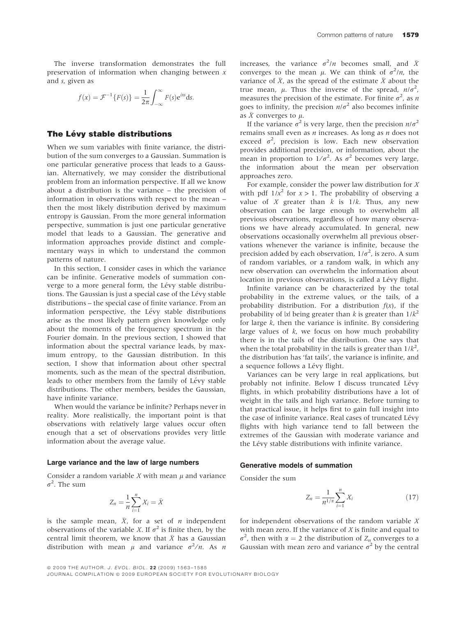The inverse transformation demonstrates the full preservation of information when changing between  $x$ and s, given as

$$
f(x) = \mathcal{F}^{-1}\lbrace F(s)\rbrace = \frac{1}{2\pi} \int_{-\infty}^{\infty} F(s) e^{ix} ds.
$$

# The Lévy stable distributions

When we sum variables with finite variance, the distribution of the sum converges to a Gaussian. Summation is one particular generative process that leads to a Gaussian. Alternatively, we may consider the distributional problem from an information perspective. If all we know about a distribution is the variance – the precision of information in observations with respect to the mean – then the most likely distribution derived by maximum entropy is Gaussian. From the more general information perspective, summation is just one particular generative model that leads to a Gaussian. The generative and information approaches provide distinct and complementary ways in which to understand the common patterns of nature.

In this section, I consider cases in which the variance can be infinite. Generative models of summation converge to a more general form, the Lévy stable distributions. The Gaussian is just a special case of the Lévy stable distributions – the special case of finite variance. From an information perspective, the Lévy stable distributions arise as the most likely pattern given knowledge only about the moments of the frequency spectrum in the Fourier domain. In the previous section, I showed that information about the spectral variance leads, by maximum entropy, to the Gaussian distribution. In this section, I show that information about other spectral moments, such as the mean of the spectral distribution, leads to other members from the family of Lévy stable distributions. The other members, besides the Gaussian, have infinite variance.

When would the variance be infinite? Perhaps never in reality. More realistically, the important point is that observations with relatively large values occur often enough that a set of observations provides very little information about the average value.

# Large variance and the law of large numbers

Consider a random variable  $X$  with mean  $\mu$  and variance  $\sigma^2$ . The sum

$$
Z_n = \frac{1}{n} \sum_{i=1}^n X_i = \bar{X}
$$

is the sample mean,  $\bar{X}$ , for a set of *n* independent observations of the variable *X*. If  $\sigma^2$  is finite then, by the central limit theorem, we know that  $\bar{X}$  has a Gaussian distribution with mean  $\mu$  and variance  $\sigma^2/n$ . As n increases, the variance  $\sigma^2/n$  becomes small, and  $\bar{X}$ converges to the mean  $\mu$ . We can think of  $\sigma^2/n$ , the variance of  $\bar{X}$ , as the spread of the estimate  $\bar{X}$  about the true mean,  $\mu$ . Thus the inverse of the spread,  $n/\sigma^2$ , measures the precision of the estimate. For finite  $\sigma^2$ , as n goes to infinity, the precision  $n/\sigma^2$  also becomes infinite as  $\bar{X}$  converges to  $\mu$ .

If the variance  $\sigma^2$  is very large, then the precision  $n/\sigma^2$ remains small even as  $n$  increases. As long as  $n$  does not exceed  $\sigma^2$ , precision is low. Each new observation provides additional precision, or information, about the mean in proportion to  $1/\sigma^2$ . As  $\sigma^2$  becomes very large, the information about the mean per observation approaches zero.

For example, consider the power law distribution for  $X$ with pdf  $1/x^2$  for  $x > 1$ . The probability of observing a value of X greater than  $k$  is  $1/k$ . Thus, any new observation can be large enough to overwhelm all previous observations, regardless of how many observations we have already accumulated. In general, new observations occasionally overwhelm all previous observations whenever the variance is infinite, because the precision added by each observation,  $1/\sigma^2$ , is zero. A sum of random variables, or a random walk, in which any new observation can overwhelm the information about location in previous observations, is called a Lévy flight.

Infinite variance can be characterized by the total probability in the extreme values, or the tails, of a probability distribution. For a distribution  $f(x)$ , if the probability of |x| being greater than k is greater than  $1/k^2$ for large  $k$ , then the variance is infinite. By considering large values of  $k$ , we focus on how much probability there is in the tails of the distribution. One says that when the total probability in the tails is greater than  $1/k^2$ , the distribution has 'fat tails', the variance is infinite, and a sequence follows a Lévy flight.

Variances can be very large in real applications, but probably not infinite. Below I discuss truncated Lévy flights, in which probability distributions have a lot of weight in the tails and high variance. Before turning to that practical issue, it helps first to gain full insight into the case of infinite variance. Real cases of truncated Lévy flights with high variance tend to fall between the extremes of the Gaussian with moderate variance and the Lévy stable distributions with infinite variance.

# Generative models of summation

Consider the sum

$$
Z_n = \frac{1}{n^{1/\alpha}} \sum_{i=1}^n X_i
$$
 (17)

for independent observations of the random variable  $X$ with mean zero. If the variance of  $X$  is finite and equal to  $\sigma^2$ , then with  $\alpha = 2$  the distribution of  $Z_n$  converges to a Gaussian with mean zero and variance  $\sigma^2$  by the central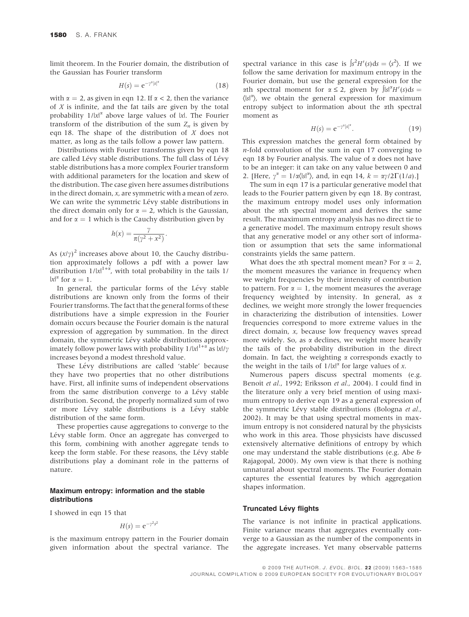limit theorem. In the Fourier domain, the distribution of the Gaussian has Fourier transform

$$
H(s) = e^{-\gamma^{\alpha}|s|^{\alpha}} \tag{18}
$$

with  $\alpha = 2$ , as given in eqn 12. If  $\alpha < 2$ , then the variance of  $X$  is infinite, and the fat tails are given by the total probability  $1/|x|^{\alpha}$  above large values of |x|. The Fourier transform of the distribution of the sum  $Z_n$  is given by eqn 18. The shape of the distribution of  $X$  does not matter, as long as the tails follow a power law pattern.

Distributions with Fourier transforms given by eqn 18 are called Lévy stable distributions. The full class of Lévy stable distributions has a more complex Fourier transform with additional parameters for the location and skew of the distribution. The case given here assumes distributions in the direct domain, x, are symmetric with a mean of zero. We can write the symmetric Lévy stable distributions in the direct domain only for  $\alpha = 2$ , which is the Gaussian, and for  $\alpha = 1$  which is the Cauchy distribution given by

$$
h(x) = \frac{\gamma}{\pi(\gamma^2 + x^2)}.
$$

As  $(x/\gamma)^2$  increases above about 10, the Cauchy distribution approximately follows a pdf with a power law distribution  $1/|x|^{1+\alpha}$ , with total probability in the tails  $1/$  $|x|^\alpha$  for  $\alpha = 1$ .

In general, the particular forms of the Lévy stable distributions are known only from the forms of their Fourier transforms. The fact that the general forms of these distributions have a simple expression in the Fourier domain occurs because the Fourier domain is the natural expression of aggregation by summation. In the direct domain, the symmetric Lévy stable distributions approximately follow power laws with probability  $1/|x|^{1+\alpha}$  as  $|x|/\gamma$ increases beyond a modest threshold value.

These Lévy distributions are called 'stable' because they have two properties that no other distributions have. First, all infinite sums of independent observations from the same distribution converge to a Lévy stable distribution. Second, the properly normalized sum of two or more Lévy stable distributions is a Lévy stable distribution of the same form.

These properties cause aggregations to converge to the Lévy stable form. Once an aggregate has converged to this form, combining with another aggregate tends to keep the form stable. For these reasons, the Lévy stable distributions play a dominant role in the patterns of nature.

### Maximum entropy: information and the stable distributions

I showed in eqn 15 that

$$
H(s) = e^{-\gamma^2 s^2}
$$

is the maximum entropy pattern in the Fourier domain given information about the spectral variance. The

spectral variance in this case is  $\int s^2 H'(s) ds = \langle s^2 \rangle$ . If we follow the same derivation for maximum entropy in the Fourier domain, but use the general expression for the  $\alpha$ th spectral moment for  $\alpha \leq 2$ , given by  $\int |s|^{\alpha} H'(s) ds =$ Æ|s| a æ, we obtain the general expression for maximum entropy subject to information about the ath spectral moment as

$$
H(s) = e^{-\gamma^{\alpha}|s|^{\alpha}}.
$$
 (19)

This expression matches the general form obtained by  $n$ -fold convolution of the sum in eqn 17 converging to eqn 18 by Fourier analysis. The value of  $\alpha$  does not have to be an integer: it can take on any value between 0 and 2. [Here,  $\gamma^{\alpha} = 1/\alpha \langle |s|^{\alpha} \rangle$ , and, in eqn 14,  $k = \alpha \gamma / 2\Gamma(1/a)$ .]

The sum in eqn 17 is a particular generative model that leads to the Fourier pattern given by eqn 18. By contrast, the maximum entropy model uses only information about the ath spectral moment and derives the same result. The maximum entropy analysis has no direct tie to a generative model. The maximum entropy result shows that any generative model or any other sort of information or assumption that sets the same informational constraints yields the same pattern.

What does the  $\alpha$ th spectral moment mean? For  $\alpha = 2$ , the moment measures the variance in frequency when we weight frequencies by their intensity of contribution to pattern. For  $\alpha = 1$ , the moment measures the average frequency weighted by intensity. In general, as  $\alpha$ declines, we weight more strongly the lower frequencies in characterizing the distribution of intensities. Lower frequencies correspond to more extreme values in the direct domain, x, because low frequency waves spread more widely. So, as  $\alpha$  declines, we weight more heavily the tails of the probability distribution in the direct domain. In fact, the weighting  $\alpha$  corresponds exactly to the weight in the tails of  $1/|x|^{\alpha}$  for large values of x.

Numerous papers discuss spectral moments (e.g. Benoit et al., 1992; Eriksson et al., 2004). I could find in the literature only a very brief mention of using maximum entropy to derive eqn 19 as a general expression of the symmetric Lévy stable distributions (Bologna et al., 2002). It may be that using spectral moments in maximum entropy is not considered natural by the physicists who work in this area. Those physicists have discussed extensively alternative definitions of entropy by which one may understand the stable distributions (e.g. Abe & Rajagopal, 2000). My own view is that there is nothing unnatural about spectral moments. The Fourier domain captures the essential features by which aggregation shapes information.

#### **Truncated Lévy flights**

The variance is not infinite in practical applications. Finite variance means that aggregates eventually converge to a Gaussian as the number of the components in the aggregate increases. Yet many observable patterns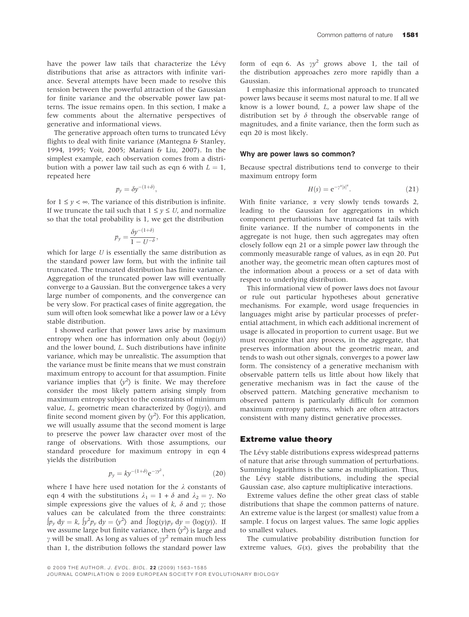have the power law tails that characterize the Lévy distributions that arise as attractors with infinite variance. Several attempts have been made to resolve this tension between the powerful attraction of the Gaussian for finite variance and the observable power law patterns. The issue remains open. In this section, I make a few comments about the alternative perspectives of generative and informational views.

The generative approach often turns to truncated Lévy flights to deal with finite variance (Mantegna & Stanley, 1994, 1995; Voit, 2005; Mariani & Liu, 2007). In the simplest example, each observation comes from a distribution with a power law tail such as eqn 6 with  $L = 1$ , repeated here

$$
p_y = \delta y^{-(1+\delta)},
$$

for  $1 \le y < \infty$ . The variance of this distribution is infinite. If we truncate the tail such that  $1 \le y \le U$ , and normalize so that the total probability is 1, we get the distribution

$$
p_y = \frac{\delta y^{-(1+\delta)}}{1 - U^{-\delta}},
$$

which for large  $U$  is essentially the same distribution as the standard power law form, but with the infinite tail truncated. The truncated distribution has finite variance. Aggregation of the truncated power law will eventually converge to a Gaussian. But the convergence takes a very large number of components, and the convergence can be very slow. For practical cases of finite aggregation, the sum will often look somewhat like a power law or a Lévy stable distribution.

I showed earlier that power laws arise by maximum entropy when one has information only about  $\langle \log(y) \rangle$ and the lower bound, L. Such distributions have infinite variance, which may be unrealistic. The assumption that the variance must be finite means that we must constrain maximum entropy to account for that assumption. Finite variance implies that  $\langle y^2 \rangle$  is finite. We may therefore consider the most likely pattern arising simply from maximum entropy subject to the constraints of minimum value, L, geometric mean characterized by  $\langle \log(y) \rangle$ , and finite second moment given by  $\langle y^2 \rangle$ . For this application, we will usually assume that the second moment is large to preserve the power law character over most of the range of observations. With those assumptions, our standard procedure for maximum entropy in eqn 4 yields the distribution

$$
p_y = ky^{-(1+\delta)} e^{-\gamma y^2},\tag{20}
$$

where I have here used notation for the  $\lambda$  constants of eqn 4 with the substitutions  $\lambda_1 = 1 + \delta$  and  $\lambda_2 = \gamma$ . No simple expressions give the values of k,  $\delta$  and  $\gamma$ ; those values can be calculated from the three constraints:  $\int p_y dy = k$ ,  $\int y^2 p_y dy = \langle y^2 \rangle$  and  $\int \log(y) p_y dy = \langle \log(y) \rangle$ . If we assume large but finite variance, then  $\langle y^2 \rangle$  is large and  $\gamma$  will be small. As long as values of  $\gamma y^2$  remain much less than 1, the distribution follows the standard power law form of eqn 6. As  $\gamma y^2$  grows above 1, the tail of the distribution approaches zero more rapidly than a Gaussian.

I emphasize this informational approach to truncated power laws because it seems most natural to me. If all we know is a lower bound, L, a power law shape of the distribution set by  $\delta$  through the observable range of magnitudes, and a finite variance, then the form such as eqn 20 is most likely.

# Why are power laws so common?

Because spectral distributions tend to converge to their maximum entropy form

$$
H(s) = e^{-\gamma^{\alpha}|s|^{\alpha}}.
$$
 (21)

With finite variance,  $\alpha$  very slowly tends towards 2, leading to the Gaussian for aggregations in which component perturbations have truncated fat tails with finite variance. If the number of components in the aggregate is not huge, then such aggregates may often closely follow eqn 21 or a simple power law through the commonly measurable range of values, as in eqn 20. Put another way, the geometric mean often captures most of the information about a process or a set of data with respect to underlying distribution.

This informational view of power laws does not favour or rule out particular hypotheses about generative mechanisms. For example, word usage frequencies in languages might arise by particular processes of preferential attachment, in which each additional increment of usage is allocated in proportion to current usage. But we must recognize that any process, in the aggregate, that preserves information about the geometric mean, and tends to wash out other signals, converges to a power law form. The consistency of a generative mechanism with observable pattern tells us little about how likely that generative mechanism was in fact the cause of the observed pattern. Matching generative mechanism to observed pattern is particularly difficult for common maximum entropy patterns, which are often attractors consistent with many distinct generative processes.

# Extreme value theory

The Lévy stable distributions express widespread patterns of nature that arise through summation of perturbations. Summing logarithms is the same as multiplication. Thus, the Lévy stable distributions, including the special Gaussian case, also capture multiplicative interactions.

Extreme values define the other great class of stable distributions that shape the common patterns of nature. An extreme value is the largest (or smallest) value from a sample. I focus on largest values. The same logic applies to smallest values.

The cumulative probability distribution function for extreme values,  $G(x)$ , gives the probability that the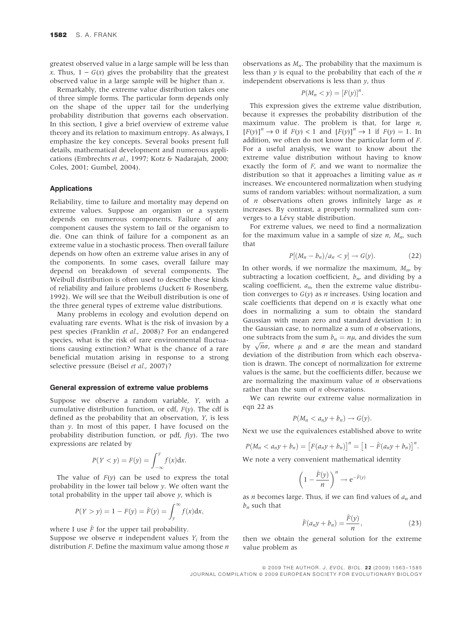greatest observed value in a large sample will be less than x. Thus,  $1 - G(x)$  gives the probability that the greatest observed value in a large sample will be higher than  $x$ .

Remarkably, the extreme value distribution takes one of three simple forms. The particular form depends only on the shape of the upper tail for the underlying probability distribution that governs each observation. In this section, I give a brief overview of extreme value theory and its relation to maximum entropy. As always, I emphasize the key concepts. Several books present full details, mathematical development and numerous applications (Embrechts et al., 1997; Kotz & Nadarajah, 2000; Coles, 2001; Gumbel, 2004).

# Applications

Reliability, time to failure and mortality may depend on extreme values. Suppose an organism or a system depends on numerous components. Failure of any component causes the system to fail or the organism to die. One can think of failure for a component as an extreme value in a stochastic process. Then overall failure depends on how often an extreme value arises in any of the components. In some cases, overall failure may depend on breakdown of several components. The Weibull distribution is often used to describe these kinds of reliability and failure problems (Juckett & Rosenberg, 1992). We will see that the Weibull distribution is one of the three general types of extreme value distributions.

Many problems in ecology and evolution depend on evaluating rare events. What is the risk of invasion by a pest species (Franklin et al., 2008)? For an endangered species, what is the risk of rare environmental fluctuations causing extinction? What is the chance of a rare beneficial mutation arising in response to a strong selective pressure (Beisel et al., 2007)?

#### General expression of extreme value problems

Suppose we observe a random variable, Y, with a cumulative distribution function, or cdf,  $F(y)$ . The cdf is defined as the probability that an observation, Y, is less than y. In most of this paper, I have focused on the probability distribution function, or pdf,  $f(y)$ . The two expressions are related by

$$
P(Y < y) = F(y) = \int_{-\infty}^{y} f(x) \, \mathrm{d}x.
$$

The value of  $F(y)$  can be used to express the total probability in the lower tail below y. We often want the total probability in the upper tail above  $y$ , which is

$$
P(Y > y) = 1 - F(y) = \hat{F}(y) = \int_{y}^{\infty} f(x) dx,
$$

where I use  $\hat{F}$  for the upper tail probability.

Suppose we observe *n* independent values  $Y_i$  from the distribution  $F$ . Define the maximum value among those  $n$  observations as  $M_n$ . The probability that the maximum is less than  $y$  is equal to the probability that each of the  $n$ independent observations is less than  $y$ , thus

$$
P(M_n < y) = [F(y)]^n.
$$

This expression gives the extreme value distribution, because it expresses the probability distribution of the maximum value. The problem is that, for large  $n$ ,  $[F(y)]^n \to 0$  if  $F(y) < 1$  and  $[F(y)]^n \to 1$  if  $F(y) = 1$ . In addition, we often do not know the particular form of F. For a useful analysis, we want to know about the extreme value distribution without having to know exactly the form of  $F$ , and we want to normalize the distribution so that it approaches a limiting value as  $n$ increases. We encountered normalization when studying sums of random variables: without normalization, a sum of  $n$  observations often grows infinitely large as  $n$ increases. By contrast, a properly normalized sum converges to a Lévy stable distribution.

For extreme values, we need to find a normalization for the maximum value in a sample of size *n*,  $M_n$ , such that

$$
P[(M_n - b_n)/a_n < y] \to G(y). \tag{22}
$$

In other words, if we normalize the maximum,  $M_n$ , by subtracting a location coefficient,  $b_n$ , and dividing by a scaling coefficient,  $a_n$ , then the extreme value distribution converges to  $G(y)$  as *n* increases. Using location and scale coefficients that depend on  $n$  is exactly what one does in normalizing a sum to obtain the standard Gaussian with mean zero and standard deviation 1: in the Gaussian case, to normalize a sum of  $n$  observations, one subtracts from the sum  $b_n = n\mu$ , and divides the sum by  $\sqrt{n}\sigma$ , where  $\mu$  and  $\sigma$  are the mean and standard deviation of the distribution from which each observation is drawn. The concept of normalization for extreme values is the same, but the coefficients differ, because we are normalizing the maximum value of  $n$  observations rather than the sum of  $n$  observations.

We can rewrite our extreme value normalization in eqn 22 as

$$
P(M_n < a_n y + b_n) \to G(y).
$$

Next we use the equivalences established above to write

$$
P(M_n < a_n y + b_n) = [F(a_n y + b_n)]^n = [1 - \hat{F}(a_n y + b_n)]^n.
$$

We note a very convenient mathematical identity

$$
\left(1 - \frac{\hat{F}(y)}{n}\right)^n \to e^{-\hat{F}(y)}
$$

as *n* becomes large. Thus, if we can find values of  $a_n$  and  $b_n$  such that

$$
\hat{F}(a_n y + b_n) = \frac{\hat{F}(y)}{n},\qquad(23)
$$

then we obtain the general solution for the extreme value problem as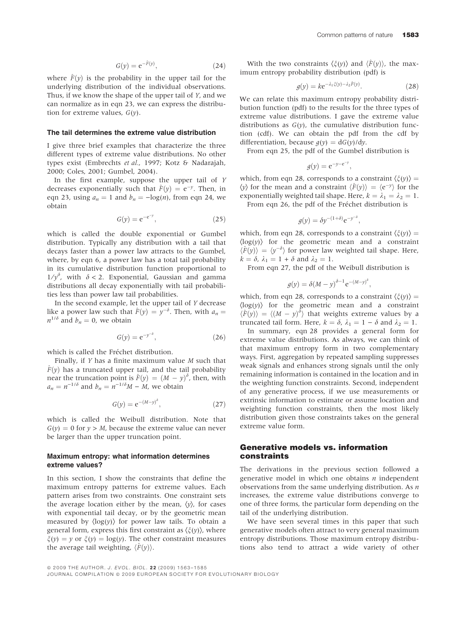$$
G(y) = e^{-\hat{F}(y)},\tag{24}
$$

where  $\hat{F}(v)$  is the probability in the upper tail for the underlying distribution of the individual observations. Thus, if we know the shape of the upper tail of Y, and we can normalize as in eqn 23, we can express the distribution for extreme values,  $G(y)$ .

#### The tail determines the extreme value distribution

I give three brief examples that characterize the three different types of extreme value distributions. No other types exist (Embrechts et al., 1997; Kotz & Nadarajah, 2000; Coles, 2001; Gumbel, 2004).

In the first example, suppose the upper tail of Y decreases exponentially such that  $\hat{F}(y) = e^{-y}$ . Then, in eqn 23, using  $a_n = 1$  and  $b_n = -\log(n)$ , from eqn 24, we obtain

$$
G(y) = e^{-e^{-y}},\tag{25}
$$

which is called the double exponential or Gumbel distribution. Typically any distribution with a tail that decays faster than a power law attracts to the Gumbel, where, by eqn 6, a power law has a total tail probability in its cumulative distribution function proportional to  $1/y^{\delta}$ , with  $\delta < 2$ . Exponential, Gaussian and gamma distributions all decay exponentially with tail probabilities less than power law tail probabilities.

In the second example, let the upper tail of Y decrease like a power law such that  $\hat{F}(y) = y^{-\delta}$ . Then, with  $a_n =$  $n^{1/\delta}$  and  $b_n = 0$ , we obtain

$$
G(y) = e^{-y^{-\delta}},\tag{26}
$$

which is called the Fréchet distribution.

Finally, if  $Y$  has a finite maximum value  $M$  such that  $\hat{F}(y)$  has a truncated upper tail, and the tail probability near the truncation point is  $\hat{F}(y) = (M - y)^{\delta}$ , then, with  $a_n = n^{-1/\delta}$  and  $b_n = n^{-1/\delta}M - M$ , we obtain

$$
G(y) = e^{-(M-y)^{\delta}},\tag{27}
$$

which is called the Weibull distribution. Note that  $G(y) = 0$  for  $y > M$ , because the extreme value can never be larger than the upper truncation point.

# Maximum entropy: what information determines extreme values?

In this section, I show the constraints that define the maximum entropy patterns for extreme values. Each pattern arises from two constraints. One constraint sets the average location either by the mean,  $\langle y \rangle$ , for cases with exponential tail decay, or by the geometric mean measured by  $\langle \log(y) \rangle$  for power law tails. To obtain a general form, express this first constraint as  $\langle \xi(y) \rangle$ , where  $\xi(y) = y$  or  $\xi(y) = \log(y)$ . The other constraint measures the average tail weighting,  $\langle \hat{F}(y) \rangle$ .

With the two constraints  $\langle \xi(y) \rangle$  and  $\langle \hat{F}(y) \rangle$ , the maximum entropy probability distribution (pdf) is

$$
g(y) = k e^{-\lambda_1 \xi(y) - \lambda_2 \hat{F}(y)}.
$$
 (28)

We can relate this maximum entropy probability distribution function (pdf) to the results for the three types of extreme value distributions. I gave the extreme value distributions as  $G(y)$ , the cumulative distribution function (cdf). We can obtain the pdf from the cdf by differentiation, because  $g(y) = dG(y)/dy$ .

From eqn 25, the pdf of the Gumbel distribution is

$$
g(y) = e^{-y - e^{-y}},
$$

which, from eqn 28, corresponds to a constraint  $\langle \xi(y) \rangle$  =  $\langle y \rangle$  for the mean and a constraint  $\langle \hat{F}(y) \rangle = \langle e^{-y} \rangle$  for the exponentially weighted tail shape. Here,  $k = \lambda_1 = \lambda_2 = 1$ .

From eqn 26, the pdf of the Fréchet distribution is

$$
g(y) = \delta y^{-(1+\delta)} e^{-y^{-\delta}},
$$

which, from eqn 28, corresponds to a constraint  $\langle \xi(y) \rangle$  =  $\langle \log(y) \rangle$  for the geometric mean and a constraint  $\langle \hat{F}(y) \rangle = \langle y^{-\delta} \rangle$  for power law weighted tail shape. Here,  $k = \delta$ ,  $\lambda_1 = 1 + \delta$  and  $\lambda_2 = 1$ .

From eqn 27, the pdf of the Weibull distribution is

$$
g(y) = \delta(M - y)^{\delta - 1} e^{-(M - y)^{\delta}},
$$

which, from eqn 28, corresponds to a constraint  $\langle \xi(y) \rangle$  =  $\langle \log(y) \rangle$  for the geometric mean and a constraint  $\langle \hat{F}(y) \rangle = \langle (M - y)^{\delta} \rangle$  that weights extreme values by a truncated tail form. Here,  $k = \delta$ ,  $\lambda_1 = 1 - \delta$  and  $\lambda_2 = 1$ .

In summary, eqn 28 provides a general form for extreme value distributions. As always, we can think of that maximum entropy form in two complementary ways. First, aggregation by repeated sampling suppresses weak signals and enhances strong signals until the only remaining information is contained in the location and in the weighting function constraints. Second, independent of any generative process, if we use measurements or extrinsic information to estimate or assume location and weighting function constraints, then the most likely distribution given those constraints takes on the general extreme value form.

# Generative models vs. information constraints

The derivations in the previous section followed a generative model in which one obtains  $n$  independent observations from the same underlying distribution. As  $n$ increases, the extreme value distributions converge to one of three forms, the particular form depending on the tail of the underlying distribution.

We have seen several times in this paper that such generative models often attract to very general maximum entropy distributions. Those maximum entropy distributions also tend to attract a wide variety of other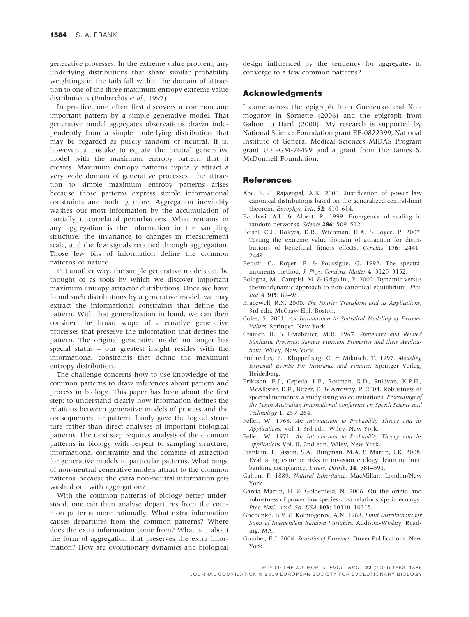generative processes. In the extreme value problem, any underlying distributions that share similar probability weightings in the tails fall within the domain of attraction to one of the three maximum entropy extreme value distributions (Embrechts et al., 1997).

In practice, one often first discovers a common and important pattern by a simple generative model. That generative model aggregates observations drawn independently from a simple underlying distribution that may be regarded as purely random or neutral. It is, however, a mistake to equate the neutral generative model with the maximum entropy pattern that it creates. Maximum entropy patterns typically attract a very wide domain of generative processes. The attraction to simple maximum entropy patterns arises because those patterns express simple informational constraints and nothing more. Aggregation inevitably washes out most information by the accumulation of partially uncorrelated perturbations. What remains in any aggregation is the information in the sampling structure, the invariance to changes in measurement scale, and the few signals retained through aggregation. Those few bits of information define the common patterns of nature.

Put another way, the simple generative models can be thought of as tools by which we discover important maximum entropy attractor distributions. Once we have found such distributions by a generative model, we may extract the informational constraints that define the pattern. With that generalization in hand, we can then consider the broad scope of alternative generative processes that preserve the information that defines the pattern. The original generative model no longer has special status – our greatest insight resides with the informational constraints that define the maximum entropy distribution.

The challenge concerns how to use knowledge of the common patterns to draw inferences about pattern and process in biology. This paper has been about the first step: to understand clearly how information defines the relations between generative models of process and the consequences for pattern. I only gave the logical structure rather than direct analyses of important biological patterns. The next step requires analysis of the common patterns in biology with respect to sampling structure, informational constraints and the domains of attraction for generative models to particular patterns. What range of non-neutral generative models attract to the common patterns, because the extra non-neutral information gets washed out with aggregation?

With the common patterns of biology better understood, one can then analyse departures from the common patterns more rationally. What extra information causes departures from the common patterns? Where does the extra information come from? What is it about the form of aggregation that preserves the extra information? How are evolutionary dynamics and biological design influenced by the tendency for aggregates to converge to a few common patterns?

# Acknowledgments

I came across the epigraph from Gnedenko and Kolmogorov in Sornette (2006) and the epigraph from Galton in Hartl (2000). My research is supported by National Science Foundation grant EF-0822399, National Institute of General Medical Sciences MIDAS Program grant U01-GM-76499 and a grant from the James S. McDonnell Foundation.

# **References**

- Abe, S. & Rajagopal, A.K. 2000. Justification of power law canonical distributions based on the generalized central-limit theorem. Europhys. Lett. 52: 610-614.
- Barabasi, A.L. & Albert, R. 1999. Emergence of scaling in random networks. Science 286: 509–512.
- Beisel, C.J., Rokyta, D.R., Wichman, H.A. & Joyce, P. 2007. Testing the extreme value domain of attraction for distributions of beneficial fitness effects. Genetics 176: 2441– 2449.
- Benoit, C., Royer, E. & Poussigue, G. 1992. The spectral moments method. J. Phys. Condens. Matter 4: 3125-3152.
- Bologna, M., Campisi, M. & Grigolini, P. 2002. Dynamic versus thermodynamic approach to non-canonical equilibrium. Physica A 305: 89–98.
- Bracewell, R.N. 2000. The Fourier Transform and its Applications, 3rd edn. McGraw Hill, Boston.
- Coles, S. 2001. An Introduction to Statistical Modeling of Extreme Values. Springer, New York.
- Cramer, H. & Leadbetter, M.R. 1967. Stationary and Related Stochastic Processes: Sample Function Properties and their Applications. Wiley, New York.
- Embrechts, P., Kluppelberg, C. & Mikosch, T. 1997. Modeling Extremal Events: For Insurance and Finance. Springer Verlag, Heidelberg.
- Eriksson, E.J., Cepeda, L.F., Rodman, R.D., Sullivan, K.P.H., McAllister, D.F., Bitzer, D. & Arroway, P. 2004. Robustness of spectral moments: a study using voice imitations. Proceedings of the Tenth Australian International Conference on Speech Science and Technology 1, 259–264.
- Feller, W. 1968. An Introduction to Probability Theory and its Applications, Vol. I, 3rd edn. Wiley, New York.
- Feller, W. 1971. An Introduction to Probability Theory and its Applications Vol. II, 2nd edn. Wiley, New York.
- Franklin, J., Sisson, S.A., Burgman, M.A. & Martin, J.K. 2008. Evaluating extreme risks in invasion ecology: learning from banking compliance. Divers. Distrib. 14: 581–591.
- Galton, F. 1889. Natural Inheritance. MacMillan, London/New York.
- Garcia Martin, H. & Goldenfeld, N. 2006. On the origin and robustness of power-law species-area relationships in ecology. Proc. Natl. Acad. Sci. USA 103: 10310-10315.
- Gnedenko, B.V. & Kolmogorov, A.N. 1968. Limit Distributions for Sums of Independent Random Variables. Addison-Wesley, Reading, MA.
- Gumbel, E.J. 2004. Statistics of Extremes. Dover Publications, New York.